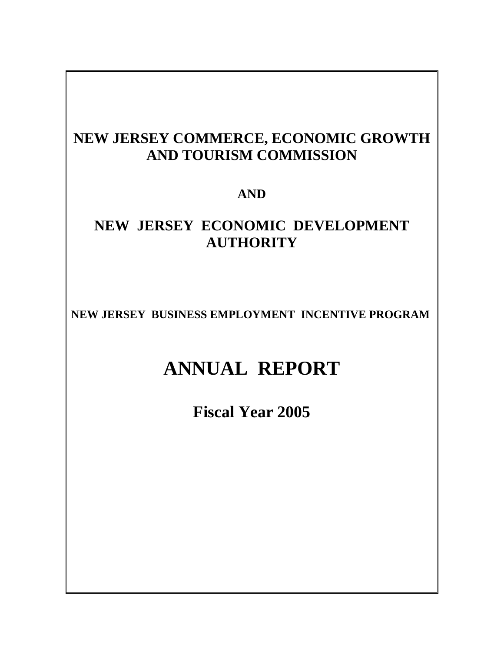# **NEW JERSEY COMMERCE, ECONOMIC GROWTH AND TOURISM COMMISSION**

# **AND**

# **NEW JERSEY ECONOMIC DEVELOPMENT AUTHORITY**

**NEW JERSEY BUSINESS EMPLOYMENT INCENTIVE PROGRAM** 

# **ANNUAL REPORT**

**Fiscal Year 2005**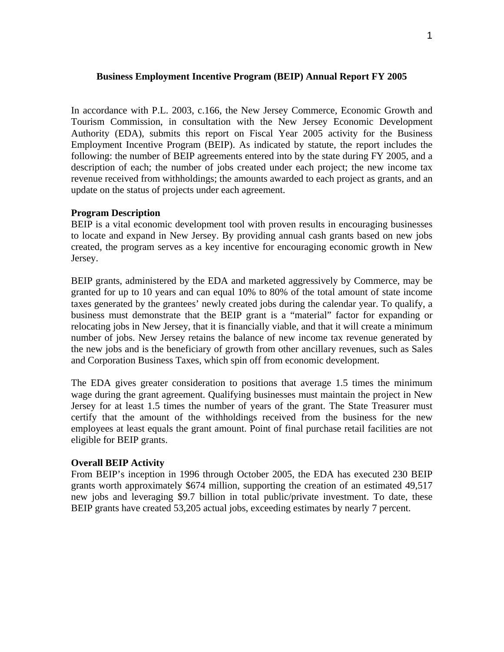## **Business Employment Incentive Program (BEIP) Annual Report FY 2005**

In accordance with P.L. 2003, c.166, the New Jersey Commerce, Economic Growth and Tourism Commission, in consultation with the New Jersey Economic Development Authority (EDA), submits this report on Fiscal Year 2005 activity for the Business Employment Incentive Program (BEIP). As indicated by statute, the report includes the following: the number of BEIP agreements entered into by the state during FY 2005, and a description of each; the number of jobs created under each project; the new income tax revenue received from withholdings; the amounts awarded to each project as grants, and an update on the status of projects under each agreement.

## **Program Description**

BEIP is a vital economic development tool with proven results in encouraging businesses to locate and expand in New Jersey. By providing annual cash grants based on new jobs created, the program serves as a key incentive for encouraging economic growth in New Jersey.

BEIP grants, administered by the EDA and marketed aggressively by Commerce, may be granted for up to 10 years and can equal 10% to 80% of the total amount of state income taxes generated by the grantees' newly created jobs during the calendar year. To qualify, a business must demonstrate that the BEIP grant is a "material" factor for expanding or relocating jobs in New Jersey, that it is financially viable, and that it will create a minimum number of jobs. New Jersey retains the balance of new income tax revenue generated by the new jobs and is the beneficiary of growth from other ancillary revenues, such as Sales and Corporation Business Taxes, which spin off from economic development.

The EDA gives greater consideration to positions that average 1.5 times the minimum wage during the grant agreement. Qualifying businesses must maintain the project in New Jersey for at least 1.5 times the number of years of the grant. The State Treasurer must certify that the amount of the withholdings received from the business for the new employees at least equals the grant amount. Point of final purchase retail facilities are not eligible for BEIP grants.

#### **Overall BEIP Activity**

From BEIP's inception in 1996 through October 2005, the EDA has executed 230 BEIP grants worth approximately \$674 million, supporting the creation of an estimated 49,517 new jobs and leveraging \$9.7 billion in total public/private investment. To date, these BEIP grants have created 53,205 actual jobs, exceeding estimates by nearly 7 percent.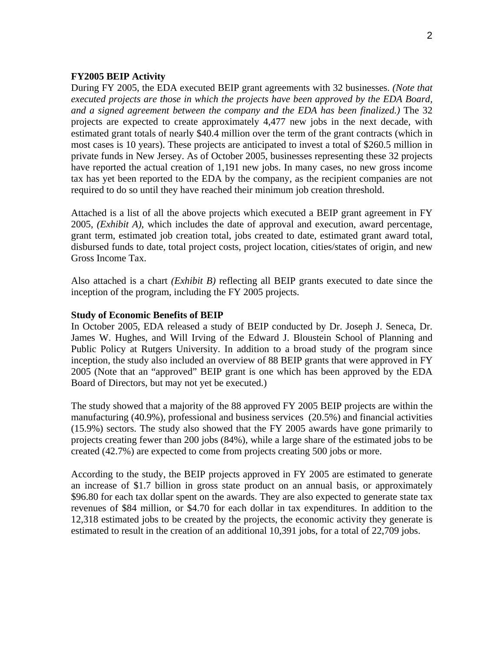#### **FY2005 BEIP Activity**

During FY 2005, the EDA executed BEIP grant agreements with 32 businesses. *(Note that executed projects are those in which the projects have been approved by the EDA Board, and a signed agreement between the company and the EDA has been finalized.)* The 32 projects are expected to create approximately 4,477 new jobs in the next decade, with estimated grant totals of nearly \$40.4 million over the term of the grant contracts (which in most cases is 10 years). These projects are anticipated to invest a total of \$260.5 million in private funds in New Jersey. As of October 2005, businesses representing these 32 projects have reported the actual creation of 1,191 new jobs. In many cases, no new gross income tax has yet been reported to the EDA by the company, as the recipient companies are not required to do so until they have reached their minimum job creation threshold.

Attached is a list of all the above projects which executed a BEIP grant agreement in FY 2005, *(Exhibit A)*, which includes the date of approval and execution, award percentage, grant term, estimated job creation total, jobs created to date, estimated grant award total, disbursed funds to date, total project costs, project location, cities/states of origin, and new Gross Income Tax.

Also attached is a chart *(Exhibit B)* reflecting all BEIP grants executed to date since the inception of the program, including the FY 2005 projects.

#### **Study of Economic Benefits of BEIP**

In October 2005, EDA released a study of BEIP conducted by Dr. Joseph J. Seneca, Dr. James W. Hughes, and Will Irving of the Edward J. Bloustein School of Planning and Public Policy at Rutgers University. In addition to a broad study of the program since inception, the study also included an overview of 88 BEIP grants that were approved in FY 2005 (Note that an "approved" BEIP grant is one which has been approved by the EDA Board of Directors, but may not yet be executed.)

The study showed that a majority of the 88 approved FY 2005 BEIP projects are within the manufacturing (40.9%), professional and business services (20.5%) and financial activities (15.9%) sectors. The study also showed that the FY 2005 awards have gone primarily to projects creating fewer than 200 jobs (84%), while a large share of the estimated jobs to be created (42.7%) are expected to come from projects creating 500 jobs or more.

According to the study, the BEIP projects approved in FY 2005 are estimated to generate an increase of \$1.7 billion in gross state product on an annual basis, or approximately \$96.80 for each tax dollar spent on the awards. They are also expected to generate state tax revenues of \$84 million, or \$4.70 for each dollar in tax expenditures. In addition to the 12,318 estimated jobs to be created by the projects, the economic activity they generate is estimated to result in the creation of an additional 10,391 jobs, for a total of 22,709 jobs.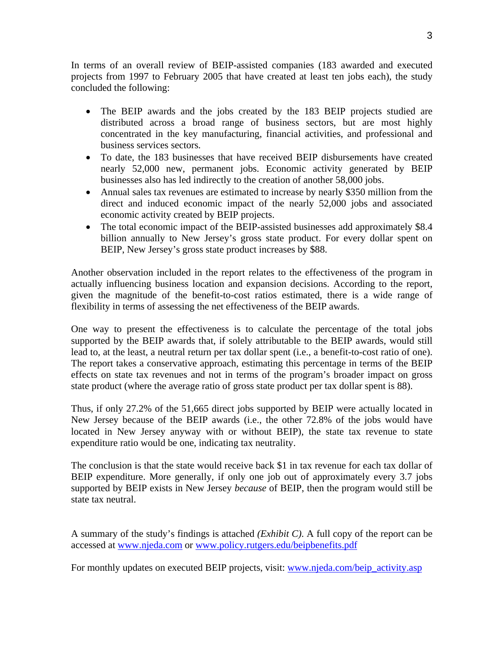In terms of an overall review of BEIP-assisted companies (183 awarded and executed projects from 1997 to February 2005 that have created at least ten jobs each), the study concluded the following:

- The BEIP awards and the jobs created by the 183 BEIP projects studied are distributed across a broad range of business sectors, but are most highly concentrated in the key manufacturing, financial activities, and professional and business services sectors.
- To date, the 183 businesses that have received BEIP disbursements have created nearly 52,000 new, permanent jobs. Economic activity generated by BEIP businesses also has led indirectly to the creation of another 58,000 jobs.
- Annual sales tax revenues are estimated to increase by nearly \$350 million from the direct and induced economic impact of the nearly 52,000 jobs and associated economic activity created by BEIP projects.
- The total economic impact of the BEIP-assisted businesses add approximately \$8.4 billion annually to New Jersey's gross state product. For every dollar spent on BEIP, New Jersey's gross state product increases by \$88.

Another observation included in the report relates to the effectiveness of the program in actually influencing business location and expansion decisions. According to the report, given the magnitude of the benefit-to-cost ratios estimated, there is a wide range of flexibility in terms of assessing the net effectiveness of the BEIP awards.

One way to present the effectiveness is to calculate the percentage of the total jobs supported by the BEIP awards that, if solely attributable to the BEIP awards, would still lead to, at the least, a neutral return per tax dollar spent (i.e., a benefit-to-cost ratio of one). The report takes a conservative approach, estimating this percentage in terms of the BEIP effects on state tax revenues and not in terms of the program's broader impact on gross state product (where the average ratio of gross state product per tax dollar spent is 88).

Thus, if only 27.2% of the 51,665 direct jobs supported by BEIP were actually located in New Jersey because of the BEIP awards (i.e., the other 72.8% of the jobs would have located in New Jersey anyway with or without BEIP), the state tax revenue to state expenditure ratio would be one, indicating tax neutrality.

The conclusion is that the state would receive back \$1 in tax revenue for each tax dollar of BEIP expenditure. More generally, if only one job out of approximately every 3.7 jobs supported by BEIP exists in New Jersey *because* of BEIP, then the program would still be state tax neutral.

A summary of the study's findings is attached *(Exhibit C)*. A full copy of the report can be accessed at www.njeda.com or www.policy.rutgers.edu/beipbenefits.pdf

For monthly updates on executed BEIP projects, visit: www.njeda.com/beip\_activity.asp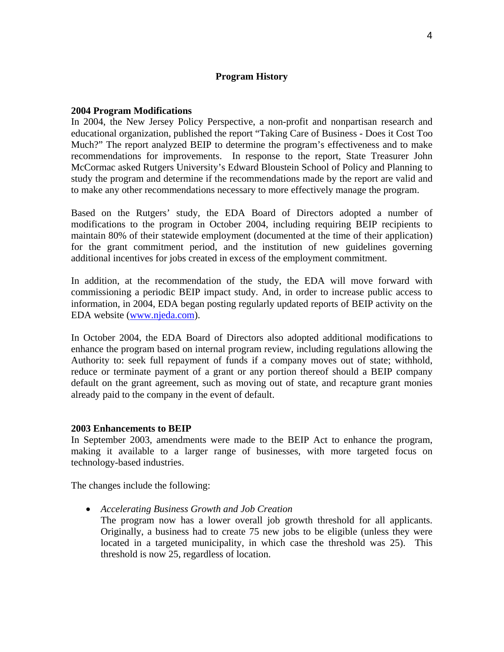### **Program History**

#### **2004 Program Modifications**

In 2004, the New Jersey Policy Perspective, a non-profit and nonpartisan research and educational organization, published the report "Taking Care of Business - Does it Cost Too Much?" The report analyzed BEIP to determine the program's effectiveness and to make recommendations for improvements. In response to the report, State Treasurer John McCormac asked Rutgers University's Edward Bloustein School of Policy and Planning to study the program and determine if the recommendations made by the report are valid and to make any other recommendations necessary to more effectively manage the program.

Based on the Rutgers' study, the EDA Board of Directors adopted a number of modifications to the program in October 2004, including requiring BEIP recipients to maintain 80% of their statewide employment (documented at the time of their application) for the grant commitment period, and the institution of new guidelines governing additional incentives for jobs created in excess of the employment commitment.

In addition, at the recommendation of the study, the EDA will move forward with commissioning a periodic BEIP impact study. And, in order to increase public access to information, in 2004, EDA began posting regularly updated reports of BEIP activity on the EDA website (www.njeda.com).

In October 2004, the EDA Board of Directors also adopted additional modifications to enhance the program based on internal program review, including regulations allowing the Authority to: seek full repayment of funds if a company moves out of state; withhold, reduce or terminate payment of a grant or any portion thereof should a BEIP company default on the grant agreement, such as moving out of state, and recapture grant monies already paid to the company in the event of default.

#### **2003 Enhancements to BEIP**

In September 2003, amendments were made to the BEIP Act to enhance the program, making it available to a larger range of businesses, with more targeted focus on technology-based industries.

The changes include the following:

- *Accelerating Business Growth and Job Creation* 
	- The program now has a lower overall job growth threshold for all applicants. Originally, a business had to create 75 new jobs to be eligible (unless they were located in a targeted municipality, in which case the threshold was 25). This threshold is now 25, regardless of location.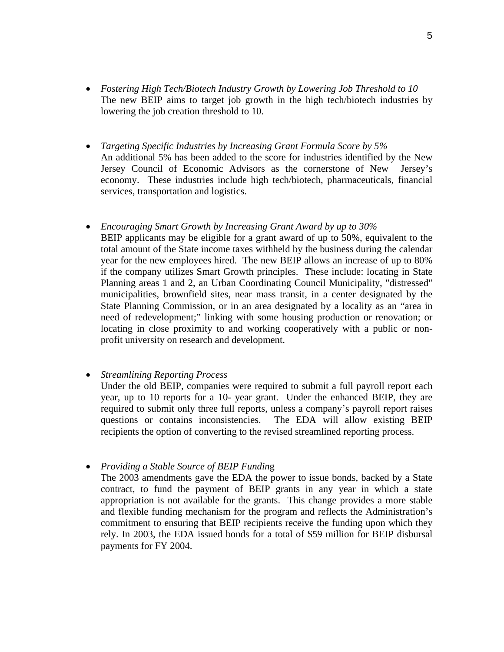- *Fostering High Tech/Biotech Industry Growth by Lowering Job Threshold to 10*  The new BEIP aims to target job growth in the high tech/biotech industries by lowering the job creation threshold to 10.
- *Targeting Specific Industries by Increasing Grant Formula Score by 5%*  An additional 5% has been added to the score for industries identified by the New Jersey Council of Economic Advisors as the cornerstone of New Jersey's economy. These industries include high tech/biotech, pharmaceuticals, financial services, transportation and logistics.
- *Encouraging Smart Growth by Increasing Grant Award by up to 30%* BEIP applicants may be eligible for a grant award of up to 50%, equivalent to the total amount of the State income taxes withheld by the business during the calendar year for the new employees hired. The new BEIP allows an increase of up to 80% if the company utilizes Smart Growth principles. These include: locating in State Planning areas 1 and 2, an Urban Coordinating Council Municipality, "distressed" municipalities, brownfield sites, near mass transit, in a center designated by the State Planning Commission, or in an area designated by a locality as an "area in need of redevelopment;" linking with some housing production or renovation; or locating in close proximity to and working cooperatively with a public or nonprofit university on research and development.

# • *Streamlining Reporting Process*

Under the old BEIP, companies were required to submit a full payroll report each year, up to 10 reports for a 10- year grant. Under the enhanced BEIP, they are required to submit only three full reports, unless a company's payroll report raises questions or contains inconsistencies. The EDA will allow existing BEIP recipients the option of converting to the revised streamlined reporting process.

• *Providing a Stable Source of BEIP Fundin*g

The 2003 amendments gave the EDA the power to issue bonds, backed by a State contract, to fund the payment of BEIP grants in any year in which a state appropriation is not available for the grants. This change provides a more stable and flexible funding mechanism for the program and reflects the Administration's commitment to ensuring that BEIP recipients receive the funding upon which they rely. In 2003, the EDA issued bonds for a total of \$59 million for BEIP disbursal payments for FY 2004.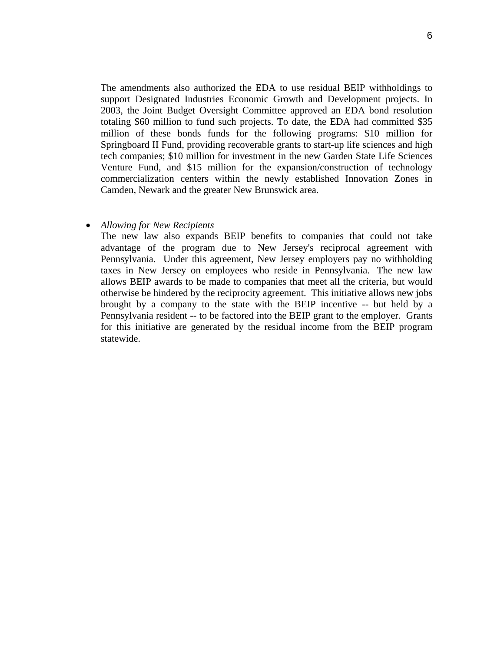The amendments also authorized the EDA to use residual BEIP withholdings to support Designated Industries Economic Growth and Development projects. In 2003, the Joint Budget Oversight Committee approved an EDA bond resolution totaling \$60 million to fund such projects. To date, the EDA had committed \$35 million of these bonds funds for the following programs: \$10 million for Springboard II Fund, providing recoverable grants to start-up life sciences and high tech companies; \$10 million for investment in the new Garden State Life Sciences Venture Fund, and \$15 million for the expansion/construction of technology commercialization centers within the newly established Innovation Zones in Camden, Newark and the greater New Brunswick area.

#### • *Allowing for New Recipients*

The new law also expands BEIP benefits to companies that could not take advantage of the program due to New Jersey's reciprocal agreement with Pennsylvania. Under this agreement, New Jersey employers pay no withholding taxes in New Jersey on employees who reside in Pennsylvania. The new law allows BEIP awards to be made to companies that meet all the criteria, but would otherwise be hindered by the reciprocity agreement. This initiative allows new jobs brought by a company to the state with the BEIP incentive -- but held by a Pennsylvania resident -- to be factored into the BEIP grant to the employer. Grants for this initiative are generated by the residual income from the BEIP program statewide.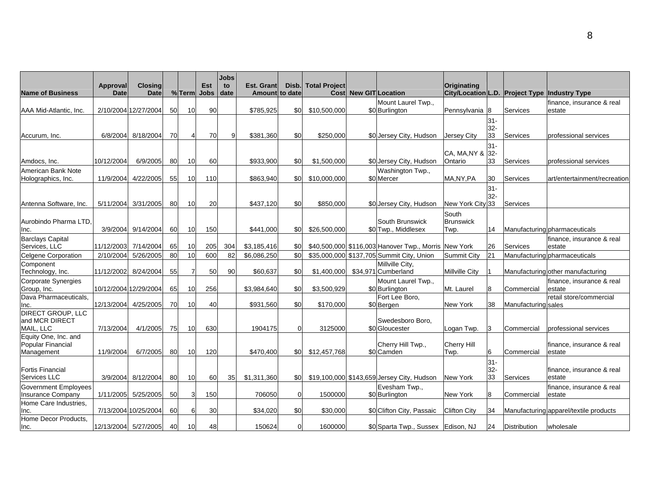| <b>Name of Business</b>                    | Approval<br><b>Date</b> | <b>Closing</b><br><b>Date</b> |           | %Term          | Est<br><b>Jobs</b> | Jobs<br>to<br>date | <b>Est. Grant</b><br><b>Amountl to date</b> | Disb.            | <b>Total Project</b> | <b>Cost New GIT Location</b> |                                                      | Originating           |                  |                     | City/Location L.D. Project Type Industry Type |
|--------------------------------------------|-------------------------|-------------------------------|-----------|----------------|--------------------|--------------------|---------------------------------------------|------------------|----------------------|------------------------------|------------------------------------------------------|-----------------------|------------------|---------------------|-----------------------------------------------|
|                                            |                         |                               |           |                |                    |                    |                                             |                  |                      |                              |                                                      |                       |                  |                     |                                               |
| AAA Mid-Atlantic, Inc.                     |                         | 2/10/2004 12/27/2004          | 50        | 10             | 90                 |                    | \$785,925                                   | \$0              | \$10,500,000         |                              | Mount Laurel Twp.,<br>\$0 Burlington                 | Pennsylvania          | 8                | Services            | finance, insurance & real<br>estate           |
|                                            |                         |                               |           |                |                    |                    |                                             |                  |                      |                              |                                                      |                       |                  |                     |                                               |
|                                            |                         |                               |           |                |                    |                    |                                             |                  |                      |                              |                                                      |                       | $31 -$<br>$32 -$ |                     |                                               |
| Accurum, Inc.                              | 6/8/2004                | 8/18/2004                     | 70        | $\overline{4}$ | 70                 | 9                  | \$381.360                                   | \$0              | \$250,000            |                              | \$0 Jersey City, Hudson                              | Jersey City           | 33               | Services            | professional services                         |
|                                            |                         |                               |           |                |                    |                    |                                             |                  |                      |                              |                                                      |                       | $31 -$           |                     |                                               |
|                                            |                         |                               |           |                |                    |                    |                                             |                  |                      |                              |                                                      | CA, MA, NY &          | $32-$            |                     |                                               |
| Amdocs, Inc.                               | 10/12/2004              | 6/9/2005                      | <b>80</b> | 10             | 60                 |                    | \$933,900                                   | \$0              | \$1,500,000          |                              | \$0 Jersey City, Hudson                              | Ontario               | 33               | Services            | professional services                         |
| American Bank Note                         |                         |                               |           |                |                    |                    |                                             |                  |                      |                              | Washington Twp.,                                     |                       |                  |                     |                                               |
| Holographics, Inc.                         | 11/9/2004               | 4/22/2005                     | 55        | 10             | 110                |                    | \$863,940                                   | \$0              | \$10,000,000         |                              | \$0 Mercer                                           | MA, NY, PA            | 30               | Services            | art/entertainment/recreation                  |
|                                            |                         |                               |           |                |                    |                    |                                             |                  |                      |                              |                                                      |                       | $31 -$           |                     |                                               |
|                                            |                         |                               |           |                |                    |                    |                                             |                  |                      |                              |                                                      |                       | $32-$            |                     |                                               |
| Antenna Software, Inc.                     | 5/11/2004               | 3/31/2005                     | 80        | 10             | 20                 |                    | \$437,120                                   | \$0              | \$850,000            |                              | \$0 Jersey City, Hudson                              | New York City 33      |                  | Services            |                                               |
|                                            |                         |                               |           |                |                    |                    |                                             |                  |                      |                              |                                                      | South                 |                  |                     |                                               |
| Aurobindo Pharma LTD,                      |                         |                               |           |                |                    |                    |                                             |                  |                      |                              | South Brunswick                                      | <b>Brunswick</b>      |                  |                     |                                               |
| Inc.                                       |                         | 3/9/2004 9/14/2004            | 60        | 10             | 150                |                    | \$441,000                                   | \$0              | \$26,500,000         |                              | \$0 Twp., Middlesex                                  | Twp.                  | 14               |                     | <b>Manufacturing pharmaceuticals</b>          |
| <b>Barclays Capital</b>                    |                         |                               |           |                |                    |                    |                                             |                  |                      |                              |                                                      |                       |                  |                     | finance, insurance & real                     |
| Services, LLC                              | 11/12/2003              | 7/14/2004                     | 65        | 10             | 205                | 304                | \$3,185,416                                 | \$0              |                      |                              | \$40,500,000 \$116,003 Hanover Twp., Morris New York |                       | 26               | Services            | estate                                        |
| <b>Celgene Corporation</b>                 | 2/10/2004               | 5/26/2005                     | 80        | 10             | 600                | 82                 | \$6,086,250                                 | \$0              |                      |                              | \$35,000,000 \$137,705 Summit City, Union            | <b>Summit City</b>    | 21               |                     | Manufacturing pharmaceuticals                 |
| Component                                  |                         |                               |           |                |                    |                    |                                             |                  |                      |                              | Millville City,                                      |                       |                  |                     |                                               |
| Technology, Inc.                           |                         | 11/12/2002 8/24/2004          | 55        | $\overline{7}$ | 50                 | 90                 | \$60,637                                    | \$0              |                      |                              | \$1,400,000 \$34,971 Cumberland                      | <b>Millville City</b> |                  |                     | Manufacturing other manufacturing             |
| Corporate Synergies                        |                         |                               |           |                |                    |                    |                                             |                  |                      |                              | Mount Laurel Twp.,                                   |                       |                  |                     | finance, insurance & real                     |
| Group, Inc.                                |                         | 10/12/2004 12/29/2004         | 65        | 10             | 256                |                    | \$3,984,640                                 | \$0 <sub>1</sub> | \$3,500,929          |                              | \$0 Burlington                                       | Mt. Laurel            | 8                | Commercial          | estate                                        |
| Dava Pharmaceuticals,                      |                         |                               |           |                |                    |                    |                                             |                  |                      |                              | Fort Lee Boro,                                       |                       |                  |                     | retail store/commercial                       |
| Inc.                                       | 12/13/2004              | 4/25/2005                     | 70        | 10             | 40                 |                    | \$931,560                                   | \$0              | \$170,000            |                              | \$0 Bergen                                           | <b>New York</b>       | 38               | Manufacturing sales |                                               |
| <b>DIRECT GROUP, LLC</b><br>and MCR DIRECT |                         |                               |           |                |                    |                    |                                             |                  |                      |                              |                                                      |                       |                  |                     |                                               |
| MAIL, LLC                                  | 7/13/2004               | 4/1/2005                      | 75        | 10             | 630                |                    | 1904175                                     | $\Omega$         | 3125000              |                              | Swedesboro Boro.<br>\$0 Gloucester                   | Logan Twp.            | 3                | Commercial          | professional services                         |
| Equity One, Inc. and                       |                         |                               |           |                |                    |                    |                                             |                  |                      |                              |                                                      |                       |                  |                     |                                               |
| Popular Financial                          |                         |                               |           |                |                    |                    |                                             |                  |                      |                              | Cherry Hill Twp.,                                    | <b>Cherry Hill</b>    |                  |                     | finance, insurance & real                     |
| Management                                 | 11/9/2004               | 6/7/2005                      | 80        | 10             | 120                |                    | \$470,400                                   | \$0              | \$12,457,768         |                              | \$0 Camden                                           | Twp.                  | 6                | Commercial          | estate                                        |
|                                            |                         |                               |           |                |                    |                    |                                             |                  |                      |                              |                                                      |                       | $31 -$           |                     |                                               |
| <b>Fortis Financial</b>                    |                         |                               |           |                |                    |                    |                                             |                  |                      |                              |                                                      |                       | $32-$            |                     | finance, insurance & real                     |
| Services LLC                               |                         | 3/9/2004 8/12/2004            | 80        | 10             | 60                 | 35                 | \$1,311,360                                 |                  |                      |                              | \$0 \$19,100,000 \$143,659 Jersey City, Hudson       | <b>New York</b>       | 33               | Services            | estate                                        |
| Government Employees                       |                         |                               |           |                |                    |                    |                                             |                  |                      |                              | Evesham Twp.,                                        |                       |                  |                     | finance, insurance & real                     |
| Insurance Company                          |                         | 1/11/2005 5/25/2005           | 50        | 3              | 150                |                    | 706050                                      | $\Omega$         | 1500000              |                              | \$0 Burlington                                       | New York              | 8                | Commercial          | estate                                        |
| Home Care Industries,                      |                         |                               |           |                |                    |                    |                                             |                  |                      |                              |                                                      |                       |                  |                     |                                               |
| Inc.                                       |                         | 7/13/2004 10/25/2004          | 60        | 6              | 30                 |                    | \$34,020                                    | \$0              | \$30,000             |                              | \$0 Clifton City, Passaic                            | <b>Clifton City</b>   | 34               |                     | Manufacturing apparel/textile products        |
| Home Decor Products.                       |                         |                               |           |                |                    |                    |                                             |                  |                      |                              |                                                      |                       |                  |                     |                                               |
| Inc.                                       |                         | 12/13/2004 5/27/2005          | 40        | 10             | 48                 |                    | 150624                                      | $\overline{0}$   | 1600000              |                              | \$0 Sparta Twp., Sussex Edison, NJ                   |                       | 24               | <b>Distribution</b> | wholesale                                     |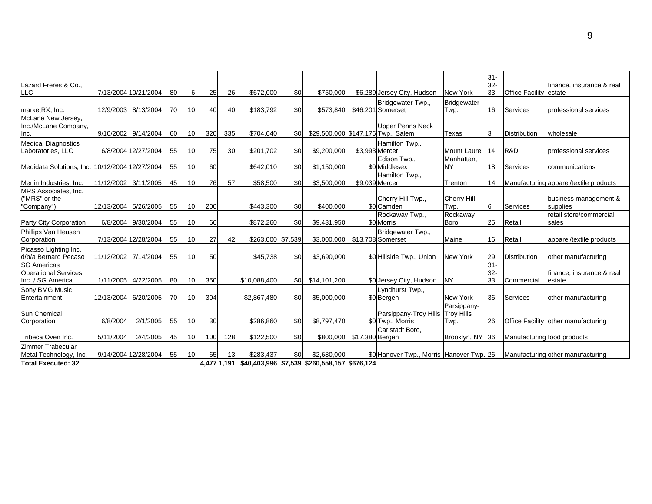| Lazard Freres & Co.,<br><b>LLC</b>                                     |            | 7/13/2004 10/21/2004  | 80 | 6               | 25  | 26  | \$672.000                                                             | \$0 | \$750,000    |                 | \$6,289 Jersey City, Hudson                                   | New York                                 | $31 -$<br>$32-$<br>33 | <b>Office Facility</b>      | finance, insurance & real<br>lestate   |
|------------------------------------------------------------------------|------------|-----------------------|----|-----------------|-----|-----|-----------------------------------------------------------------------|-----|--------------|-----------------|---------------------------------------------------------------|------------------------------------------|-----------------------|-----------------------------|----------------------------------------|
| marketRX, Inc.                                                         | 12/9/2003  | 8/13/2004             | 70 | 10 <sup>1</sup> | 40  | 40  | \$183,792                                                             | \$0 | \$573,840    |                 | Bridgewater Twp.,<br>\$46,201 Somerset                        | <b>Bridgewater</b><br>Twp.               | 16                    | Services                    | professional services                  |
| McLane New Jersey,<br>Inc./McLane Company,<br>Inc.                     |            | 9/10/2002 9/14/2004   | 60 | 10              | 320 | 335 | \$704,640                                                             | \$0 |              |                 | <b>Upper Penns Neck</b><br>\$29,500,000 \$147,176 Twp., Salem | Texas                                    | 3                     | <b>Distribution</b>         | wholesale                              |
| <b>Medical Diagnostics</b><br>Laboratories, LLC                        |            | 6/8/2004 12/27/2004   | 55 | 10 <sup>1</sup> | 75  | 30  | \$201,702                                                             | \$0 | \$9,200,000  |                 | Hamilton Twp.,<br>\$3.993 Mercer                              | Mount Laurel                             | 14                    | R&D                         | professional services                  |
| Medidata Solutions, Inc.                                               |            | 10/12/2004 12/27/2004 | 55 | 10 <sup>1</sup> | 60  |     | \$642,010                                                             | \$0 | \$1,150,000  |                 | Edison Twp.,<br>\$0 Middlesex                                 | Manhattan,<br><b>NY</b>                  | 18                    | Services                    | communications                         |
| Merlin Industries, Inc.                                                | 11/12/2002 | 3/11/2005             | 45 | 10 <sup>1</sup> | 76  | 57  | \$58,500                                                              | \$0 | \$3,500,000  |                 | Hamilton Twp.,<br>\$9.039 Mercer                              | Trenton                                  | 14                    |                             | Manufacturing apparel/textile products |
| MRS Associates, Inc.<br>("MRS" or the<br>"Company")                    | 12/13/2004 | 5/26/2005             | 55 | 10 <sup>1</sup> | 200 |     | \$443,300                                                             | \$0 | \$400,000    |                 | Cherry Hill Twp.,<br>\$0 Camden                               | <b>Cherry Hill</b><br>Twp.               | 6                     | Services                    | business management &<br>supplies      |
| Party City Corporation                                                 | 6/8/2004   | 9/30/2004             | 55 | 10 <sup>1</sup> | 66  |     | \$872,260                                                             | \$0 | \$9,431,950  |                 | Rockaway Twp.,<br>\$0 Morris                                  | Rockaway<br><b>Boro</b>                  | 25                    | Retail                      | retail store/commercial<br>sales       |
| Phillips Van Heusen<br>Corporation                                     |            | 7/13/2004 12/28/2004  | 55 | 10 <sup>1</sup> | 27  | 42  | \$263,000 \$7,539                                                     |     | \$3,000,000  |                 | Bridgewater Twp.,<br>\$13,708 Somerset                        | Maine                                    | 16                    | Retail                      | apparel/textile products               |
| Picasso Lighting Inc.<br>d/b/a Bernard Pecaso                          |            | 11/12/2002 7/14/2004  | 55 | 10 <sup>1</sup> | 50  |     | \$45,738                                                              | \$0 | \$3,690,000  |                 | \$0 Hillside Twp., Union                                      | <b>New York</b>                          | 29                    | Distribution                | lother manufacturing                   |
| <b>SG Americas</b><br><b>Operational Services</b><br>Inc. / SG America | 1/11/2005  | 4/22/2005             | 80 | 10 <sup>°</sup> | 350 |     | \$10,088,400                                                          | \$0 | \$14,101,200 |                 | \$0 Jersey City, Hudson                                       | <b>NY</b>                                | $31 -$<br>32-<br>33   | Commercial                  | finance, insurance & real<br>estate    |
| Sony BMG Music<br>Entertainment                                        | 12/13/2004 | 6/20/2005             | 70 | 10 <sup>1</sup> | 304 |     | \$2,867,480                                                           | \$0 | \$5,000,000  |                 | Lyndhurst Twp.,<br>\$0 Bergen                                 | New York                                 | 36                    | Services                    | lother manufacturing                   |
| Sun Chemical<br>Corporation                                            | 6/8/2004   | 2/1/2005              | 55 | 10 <sup>1</sup> | 30  |     | \$286,860                                                             | \$0 | \$8,797,470  |                 | Parsippany-Troy Hills<br>\$0 Twp., Morris                     | Parsippany-<br><b>Troy Hills</b><br>Twp. | 26                    |                             | Office Facility other manufacturing    |
| Tribeca Oven Inc.                                                      | 5/11/2004  | 2/4/2005              | 45 | 10 <sup>1</sup> | 100 | 128 | \$122,500                                                             | \$0 | \$800,000    | \$17,380 Bergen | Carlstadt Boro.                                               | Brooklyn, NY                             | 36                    | Manufacturing food products |                                        |
| Zimmer Trabecular<br>Metal Technology, Inc.<br>エンジント エンジン・ショット しめめい    |            | 9/14/2004 12/28/2004  | 55 | 10 <sup>1</sup> | 65  | 13  | \$283,437<br>$177.1.101$ \$10,100,000 \$7,500 \$000,550,157 \$070,101 | \$0 | \$2,680,000  |                 | \$0 Hanover Twp., Morris Hanover Twp. 26                      |                                          |                       |                             | Manufacturing other manufacturing      |

**Total Executed: 32 4,477 1,191 \$40,403,996 \$7,539 \$260,558,157 \$676,124**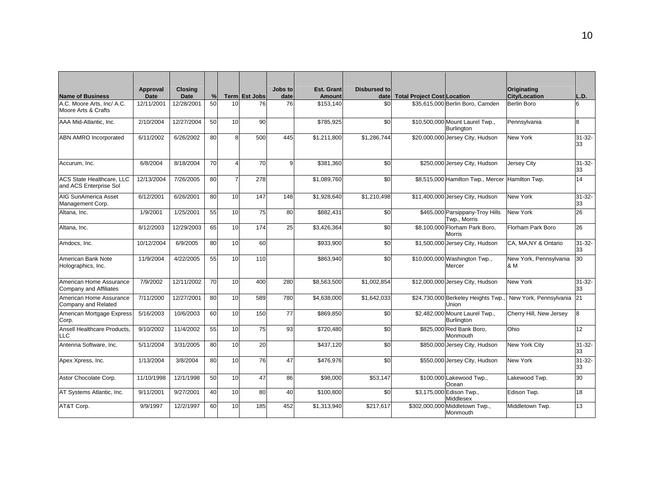| <b>Name of Business</b>                             | Approval<br>Date | <b>Closing</b><br><b>Date</b> | %  |              | Term Est Jobs | Jobs to<br>date | Est. Grant<br><b>Amount</b> | Disbursed to<br>date | <b>Total Project Cost Location</b> |                                                 | Originating<br><b>City/Location</b> | L.D.              |
|-----------------------------------------------------|------------------|-------------------------------|----|--------------|---------------|-----------------|-----------------------------|----------------------|------------------------------------|-------------------------------------------------|-------------------------------------|-------------------|
| A.C. Moore Arts, Inc/ A.C.<br>Moore Arts & Crafts   | 12/11/2001       | 12/28/2001                    | 50 | 10           | 76            | 76              | \$153,140                   | \$0                  |                                    | \$35,615,000 Berlin Boro, Camden                | Berlin Boro                         | 6                 |
| AAA Mid-Atlantic, Inc.                              | 2/10/2004        | 12/27/2004                    | 50 | 10           | 90            |                 | \$785,925                   | \$0                  |                                    | \$10,500,000 Mount Laurel Twp.,<br>Burlington   | Pennsylvania                        | 8                 |
| <b>ABN AMRO Incorporated</b>                        | 6/11/2002        | 6/26/2002                     | 80 | $\mathsf{R}$ | 500           | 445             | \$1,211,800                 | \$1.286.744          |                                    | \$20,000,000 Jersey City, Hudson                | New York                            | $31 - 32 -$<br>33 |
| Accurum, Inc.                                       | 6/8/2004         | 8/18/2004                     | 70 |              | 70            | 9               | \$381,360                   | \$0                  |                                    | \$250,000 Jersey City, Hudson                   | Jersey City                         | $31 - 32 -$<br>33 |
| ACS State Healthcare, LLC<br>and ACS Enterprise Sol | 12/13/2004       | 7/26/2005                     | 80 |              | 278           |                 | \$1,089,760                 | \$0                  |                                    | \$8,515,000 Hamilton Twp., Mercer               | Hamilton Twp.                       | 14                |
| AIG SunAmerica Asset<br>Management Corp.            | 6/12/2001        | 6/26/2001                     | 80 | 10           | 147           | 148             | \$1,928,640                 | \$1,210,498          |                                    | \$11,400,000 Jersey City, Hudson                | New York                            | $31 - 32 -$<br>33 |
| Altana, Inc.                                        | 1/9/2001         | 1/25/2001                     | 55 | 10           | 75            | 80              | \$882,431                   | \$0                  |                                    | \$465,000 Parsippany-Troy Hills<br>Twp., Morris | New York                            | 26                |
| Altana, Inc.                                        | 8/12/2003        | 12/29/2003                    | 65 | 10           | 174           | 25              | \$3,426,364                 | \$0                  |                                    | \$8,100,000 Florham Park Boro,<br><b>Morris</b> | Florham Park Boro                   | 26                |
| Amdocs, Inc.                                        | 10/12/2004       | 6/9/2005                      | 80 | 10           | 60            |                 | \$933,900                   | \$0                  |                                    | \$1,500,000 Jersey City, Hudson                 | CA, MA, NY & Ontario                | $31 - 32 -$<br>33 |
| American Bank Note<br>Holographics, Inc.            | 11/9/2004        | 4/22/2005                     | 55 | 10           | 110           |                 | \$863,940                   | \$0                  |                                    | \$10,000,000 Washington Twp.,<br>Mercer         | New York, Pennsylvania<br>& M       | 30                |
| American Home Assurance<br>Company and Affiliates   | 7/9/2002         | 12/11/2002                    | 70 | 10           | 400           | 280             | \$8,563,500                 | \$1,002,854          |                                    | \$12,000,000 Jersey City, Hudson                | New York                            | $31 - 32 -$<br>33 |
| American Home Assurance<br>Company and Related      | 7/11/2000        | 12/27/2001                    | 80 | 10           | 589           | 780             | \$4,638,000                 | \$1,642,033          |                                    | \$24,730,000 Berkeley Heights Twp.<br>Union     | New York, Pennsylvania 21           |                   |
| American Mortgage Express<br>Corp.                  | 5/16/2003        | 10/6/2003                     | 60 | 10           | 150           | 77              | \$869,850                   | \$0                  |                                    | \$2,482,000 Mount Laurel Twp.,<br>Burlington    | Cherry Hill, New Jersey             | 8                 |
| Ansell Healthcare Products,<br>LLC                  | 9/10/2002        | 11/4/2002                     | 55 | 10           | 75            | 93              | \$720,480                   | \$0                  |                                    | \$825,000 Red Bank Boro,<br>Monmouth            | Ohio                                | 12                |
| Antenna Software, Inc.                              | 5/11/2004        | 3/31/2005                     | 80 | 10           | 20            |                 | \$437,120                   | \$0                  |                                    | \$850,000 Jersey City, Hudson                   | New York City                       | $31 - 32 -$<br>33 |
| Apex Xpress, Inc.                                   | 1/13/2004        | 3/8/2004                      | 80 | 10           | 76            | 47              | \$476.976                   | \$0                  |                                    | \$550,000 Jersey City, Hudson                   | New York                            | $31 - 32 -$<br>33 |
| Astor Chocolate Corp.                               | 11/10/1998       | 12/1/1998                     | 50 | 10           | 47            | 86              | \$98,000                    | \$53,147             |                                    | \$100,000 Lakewood Twp.,<br>Ocean               | Lakewood Twp.                       | 30                |
| AT Systems Atlantic, Inc.                           | 9/11/2001        | 9/27/2001                     | 40 | 10           | 80            | 40              | \$100,800                   | \$0                  |                                    | \$3,175,000 Edison Twp.,<br>Middlesex           | Edison Twp.                         | 18                |
| AT&T Corp.                                          | 9/9/1997         | 12/2/1997                     | 60 | 10           | 185           | 452             | \$1,313,940                 | \$217.617            |                                    | \$302,000,000 Middletown Twp.,<br>Monmouth      | Middletown Twp.                     | 13                |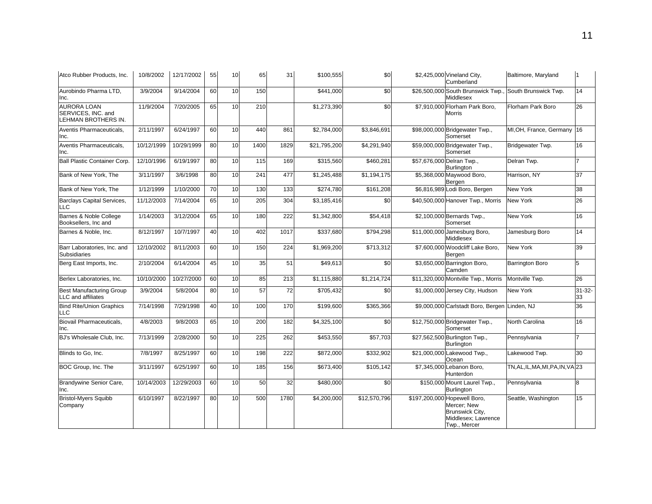| Atco Rubber Products, Inc.                                      | 10/8/2002  | 12/17/2002 | 55 | 10 | 65   | 31   | \$100,555               | \$0          | \$2,425,000 Vineland City,<br>Cumberland                                                              | Baltimore, Maryland               |                   |
|-----------------------------------------------------------------|------------|------------|----|----|------|------|-------------------------|--------------|-------------------------------------------------------------------------------------------------------|-----------------------------------|-------------------|
| Aurobindo Pharma LTD,<br>Inc.                                   | 3/9/2004   | 9/14/2004  | 60 | 10 | 150  |      | \$441,000               | \$0          | \$26,500,000 South Brunswick Twp.<br>Middlesex                                                        | South Brunswick Twp.              | 14                |
| <b>AURORA LOAN</b><br>SERVICES, INC. and<br>LEHMAN BROTHERS IN. | 11/9/2004  | 7/20/2005  | 65 | 10 | 210  |      | \$1,273,390             | \$0          | \$7,910,000 Florham Park Boro,<br>Morris                                                              | Florham Park Boro                 | 26                |
| Aventis Pharmaceuticals,<br>Inc.                                | 2/11/1997  | 6/24/1997  | 60 | 10 | 440  | 861  | \$2,784,000             | \$3,846,691  | \$98,000,000 Bridgewater Twp.,<br>Somerset                                                            | MI, OH, France, Germany           | 16                |
| Aventis Pharmaceuticals,<br>Inc.                                | 10/12/1999 | 10/29/1999 | 80 | 10 | 1400 | 1829 | \$21,795,200            | \$4,291,940  | \$59,000,000 Bridgewater Twp.,<br>Somerset                                                            | Bridgewater Twp.                  | 16                |
| <b>Ball Plastic Container Corp.</b>                             | 12/10/1996 | 6/19/1997  | 80 | 10 | 115  | 169  | \$315,560               | \$460,281    | \$57,676,000 Delran Twp.,<br>Burlington                                                               | Delran Twp.                       |                   |
| Bank of New York, The                                           | 3/11/1997  | 3/6/1998   | 80 | 10 | 241  | 477  | \$1,245,488             | \$1,194,175  | \$5,368,000 Maywood Boro,<br>Bergen                                                                   | Harrison, NY                      | 37                |
| Bank of New York. The                                           | 1/12/1999  | 1/10/2000  | 70 | 10 | 130  | 133  | \$274,780               | \$161,208    | \$6,816,989 Lodi Boro, Bergen                                                                         | <b>New York</b>                   | 38                |
| Barclays Capital Services,<br>LLC                               | 11/12/2003 | 7/14/2004  | 65 | 10 | 205  | 304  | \$3,185,416             | \$0          | \$40,500,000 Hanover Twp., Morris                                                                     | <b>New York</b>                   | 26                |
| Barnes & Noble College<br>Booksellers, Inc and                  | 1/14/2003  | 3/12/2004  | 65 | 10 | 180  | 222  | \$1,342,800             | \$54,418     | \$2,100,000 Bernards Twp.,<br>Somerset                                                                | <b>New York</b>                   | 16                |
| Barnes & Noble, Inc.                                            | 8/12/1997  | 10/7/1997  | 40 | 10 | 402  | 1017 | \$337,680               | \$794,298    | \$11,000,000 Jamesburg Boro,<br>Middlesex                                                             | Jamesburg Boro                    | 14                |
| Barr Laboratories, Inc. and<br><b>Subsidiaries</b>              | 12/10/2002 | 8/11/2003  | 60 | 10 | 150  | 224  | $\overline{$1,969,200}$ | \$713,312    | \$7,600,000 Woodcliff Lake Boro,<br>Bergen                                                            | <b>New York</b>                   | 39                |
| Berg East Imports, Inc.                                         | 2/10/2004  | 6/14/2004  | 45 | 10 | 35   | 51   | \$49,613                | \$0          | \$3,650,000 Barrington Boro,<br>Camden                                                                | <b>Barrington Boro</b>            | 5                 |
| Berlex Laboratories. Inc.                                       | 10/10/2000 | 10/27/2000 | 60 | 10 | 85   | 213  | \$1,115,880             | \$1,214,724  | \$11,320,000 Montville Twp., Morris                                                                   | Montville Twp.                    | 26                |
| <b>Best Manufacturing Group</b><br>LLC and affiliates           | 3/9/2004   | 5/8/2004   | 80 | 10 | 57   | 72   | \$705,432               | \$0          | \$1,000,000 Jersey City, Hudson                                                                       | <b>New York</b>                   | $31 - 32 -$<br>33 |
| <b>Bind Rite/Union Graphics</b><br>LLC                          | 7/14/1998  | 7/29/1998  | 40 | 10 | 100  | 170  | \$199,600               | \$365,366    | \$9,000,000 Carlstadt Boro, Bergen Linden, NJ                                                         |                                   | 36                |
| <b>Biovail Pharmaceuticals,</b><br>Inc.                         | 4/8/2003   | 9/8/2003   | 65 | 10 | 200  | 182  | \$4,325,100             | \$0          | \$12,750,000 Bridgewater Twp.,<br>Somerset                                                            | North Carolina                    | 16                |
| BJ's Wholesale Club. Inc.                                       | 7/13/1999  | 2/28/2000  | 50 | 10 | 225  | 262  | \$453,550               | \$57,703     | \$27,562,500 Burlington Twp.,<br><b>Burlington</b>                                                    | Pennsylvania                      |                   |
| Blinds to Go, Inc.                                              | 7/8/1997   | 8/25/1997  | 60 | 10 | 198  | 222  | \$872,000               | \$332,902    | \$21,000,000 Lakewood Twp.,<br>Ocean                                                                  | Lakewood Twp.                     | 30                |
| BOC Group, Inc. The                                             | 3/11/1997  | 6/25/1997  | 60 | 10 | 185  | 156  | \$673,400               | \$105,142    | \$7,345,000 Lebanon Boro,<br>Hunterdon                                                                | TN, AL, IL, MA, MI, PA, IN, VA 23 |                   |
| Brandywine Senior Care,<br>Inc.                                 | 10/14/2003 | 12/29/2003 | 60 | 10 | 50   | 32   | \$480,000               | \$0          | \$150,000 Mount Laurel Twp.,<br><b>Burlington</b>                                                     | Pennsylvania                      | 8                 |
| <b>Bristol-Myers Squibb</b><br>Company                          | 6/10/1997  | 8/22/1997  | 80 | 10 | 500  | 1780 | \$4,200,000             | \$12,570,796 | \$197,200,000 Hopewell Boro,<br>Mercer; New<br>Brunswick City,<br>Middlesex; Lawrence<br>Twp., Mercer | Seattle, Washington               | 15                |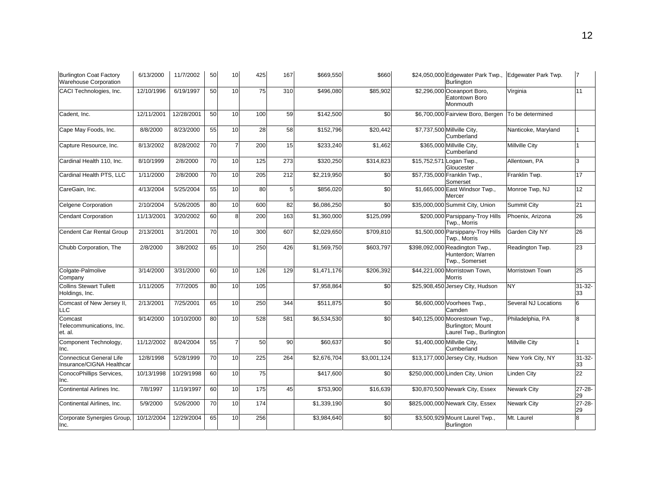| <b>Burlington Coat Factory</b><br><b>Warehouse Corporation</b> | 6/13/2000  | 11/7/2002  | 50 | 10 | 425 | 167 | \$669,550   | \$660       | \$24,050,000 Edgewater Park Twp.,<br>Burlington                               | Edgewater Park Twp.    |                   |
|----------------------------------------------------------------|------------|------------|----|----|-----|-----|-------------|-------------|-------------------------------------------------------------------------------|------------------------|-------------------|
| CACI Technologies, Inc.                                        | 12/10/1996 | 6/19/1997  | 50 | 10 | 75  | 310 | \$496,080   | \$85,902    | \$2,296,000 Oceanport Boro,<br>Eatontown Boro<br>Monmouth                     | Virginia               | 11                |
| Cadent, Inc.                                                   | 12/11/2001 | 12/28/2001 | 50 | 10 | 100 | 59  | \$142,500   | \$0         | \$6,700,000 Fairview Boro, Bergen                                             | To be determined       |                   |
| Cape May Foods, Inc.                                           | 8/8/2000   | 8/23/2000  | 55 | 10 | 28  | 58  | \$152,796   | \$20,442    | \$7,737,500 Millville City,<br>Cumberland                                     | Nanticoke, Maryland    |                   |
| Capture Resource, Inc.                                         | 8/13/2002  | 8/28/2002  | 70 | 7  | 200 | 15  | \$233,240   | \$1,462     | \$365,000 Millville City,<br>Cumberland                                       | <b>Millville City</b>  |                   |
| Cardinal Health 110, Inc.                                      | 8/10/1999  | 2/8/2000   | 70 | 10 | 125 | 273 | \$320,250   | \$314,823   | \$15,752,571 Logan Twp.,<br>Gloucester                                        | Allentown, PA          | 3                 |
| Cardinal Health PTS, LLC                                       | 1/11/2000  | 2/8/2000   | 70 | 10 | 205 | 212 | \$2,219,950 | \$0         | \$57,735,000 Franklin Twp.,<br>Somerset                                       | Franklin Twp.          | 17                |
| CareGain, Inc.                                                 | 4/13/2004  | 5/25/2004  | 55 | 10 | 80  | 5   | \$856,020   | \$0         | \$1,665,000 East Windsor Twp.,<br>Mercer                                      | Monroe Twp, NJ         | 12 <sup>2</sup>   |
| <b>Celgene Corporation</b>                                     | 2/10/2004  | 5/26/2005  | 80 | 10 | 600 | 82  | \$6,086,250 | \$0         | \$35,000,000 Summit City, Union                                               | <b>Summit City</b>     | 21                |
| <b>Cendant Corporation</b>                                     | 11/13/2001 | 3/20/2002  | 60 | 8  | 200 | 163 | \$1,360,000 | \$125,099   | \$200,000 Parsippany-Troy Hills<br>Twp., Morris                               | Phoenix, Arizona       | 26                |
| Cendent Car Rental Group                                       | 2/13/2001  | 3/1/2001   | 70 | 10 | 300 | 607 | \$2,029,650 | \$709,810   | \$1,500,000 Parsippany-Troy Hills<br>Twp., Morris                             | Garden City NY         | 26                |
| Chubb Corporation, The                                         | 2/8/2000   | 3/8/2002   | 65 | 10 | 250 | 426 | \$1,569,750 | \$603,797   | \$398,092,000 Readington Twp.,<br>Hunterdon; Warren<br>Twp., Somerset         | Readington Twp.        | 23                |
| Colgate-Palmolive<br>Company                                   | 3/14/2000  | 3/31/2000  | 60 | 10 | 126 | 129 | \$1,471,176 | \$206,392   | \$44,221,000 Morristown Town,<br>Morris                                       | <b>Morristown Town</b> | 25                |
| <b>Collins Stewart Tullett</b><br>Holdings, Inc.               | 1/11/2005  | 7/7/2005   | 80 | 10 | 105 |     | \$7,958,864 | \$0         | \$25,908,450 Jersey City, Hudson                                              | <b>NY</b>              | $31 - 32 -$<br>33 |
| Comcast of New Jersey II,<br>LLC                               | 2/13/2001  | 7/25/2001  | 65 | 10 | 250 | 344 | \$511,875   | \$0         | \$6,600,000 Voorhees Twp.,<br>Camden                                          | Several NJ Locations   | 6                 |
| Comcast<br>Telecommunications, Inc.<br>et. al.                 | 9/14/2000  | 10/10/2000 | 80 | 10 | 528 | 581 | \$6,534,530 | \$0         | \$40,125,000 Moorestown Twp.,<br>Burlington; Mount<br>Laurel Twp., Burlington | Philadelphia, PA       | 8                 |
| Component Technology,<br>Inc.                                  | 11/12/2002 | 8/24/2004  | 55 | 7  | 50  | 90  | \$60,637    | \$0         | \$1,400,000 Millville City,<br>Cumberland                                     | <b>Millville City</b>  |                   |
| <b>Connecticut General Life</b><br>Insurance/CIGNA Healthcar   | 12/8/1998  | 5/28/1999  | 70 | 10 | 225 | 264 | \$2,676,704 | \$3,001,124 | \$13,177,000 Jersey City, Hudson                                              | New York City, NY      | $31 - 32 -$<br>33 |
| ConocoPhillips Services,<br>Inc.                               | 10/13/1998 | 10/29/1998 | 60 | 10 | 75  |     | \$417,600   | \$0         | \$250,000,000 Linden City, Union                                              | Linden City            | 22                |
| Continental Airlines Inc.                                      | 7/8/1997   | 11/19/1997 | 60 | 10 | 175 | 45  | \$753,900   | \$16,639    | \$30,870,500 Newark City, Essex                                               | <b>Newark City</b>     | $27 - 28 -$<br>29 |
| Continental Airlines, Inc.                                     | 5/9/2000   | 5/26/2000  | 70 | 10 | 174 |     | \$1,339,190 | \$0         | \$825,000,000 Newark City, Essex                                              | <b>Newark City</b>     | $27 - 28 -$<br>29 |
| Corporate Synergies Group.<br>Inc.                             | 10/12/2004 | 12/29/2004 | 65 | 10 | 256 |     | \$3,984,640 | \$0         | \$3,500,929 Mount Laurel Twp.,<br><b>Burlington</b>                           | Mt. Laurel             | R                 |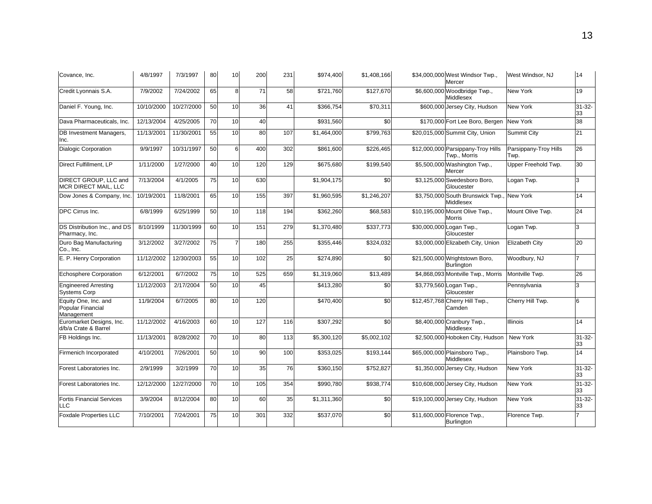| Covance. Inc.                                           | 4/8/1997   | 7/3/1997   | 80 | 10 | 200 | 231 | \$974,400   | \$1,408,166 | \$34,000,000 West Windsor Twp.,<br>Mercer           | West Windsor, NJ              | 14                |
|---------------------------------------------------------|------------|------------|----|----|-----|-----|-------------|-------------|-----------------------------------------------------|-------------------------------|-------------------|
| Credit Lyonnais S.A.                                    | 7/9/2002   | 7/24/2002  | 65 | 8  | 71  | 58  | \$721,760   | \$127,670   | \$6,600,000 Woodbridge Twp.,<br><b>Middlesex</b>    | New York                      | 19                |
| Daniel F. Young, Inc.                                   | 10/10/2000 | 10/27/2000 | 50 | 10 | 36  | 41  | \$366,754   | \$70,311    | \$600,000 Jersey City, Hudson                       | New York                      | $31 - 32 -$<br>33 |
| Dava Pharmaceuticals, Inc.                              | 12/13/2004 | 4/25/2005  | 70 | 10 | 40  |     | \$931.560   | \$0         | \$170,000 Fort Lee Boro, Bergen                     | <b>New York</b>               | 38                |
| DB Investment Managers,<br>Inc.                         | 11/13/2001 | 11/30/2001 | 55 | 10 | 80  | 107 | \$1,464,000 | \$799,763   | \$20,015,000 Summit City, Union                     | Summit City                   | 21                |
| <b>Dialogic Corporation</b>                             | 9/9/1997   | 10/31/1997 | 50 | 6  | 400 | 302 | \$861,600   | \$226,465   | \$12,000,000 Parsippany-Troy Hills<br>Twp., Morris  | Parsippany-Troy Hills<br>Twp. | 26                |
| Direct Fulfillment, LP                                  | 1/11/2000  | 1/27/2000  | 40 | 10 | 120 | 129 | \$675,680   | \$199,540   | \$5,500,000 Washington Twp.,<br>Mercer              | Upper Freehold Twp.           | 30                |
| DIRECT GROUP, LLC and<br><b>MCR DIRECT MAIL, LLC</b>    | 7/13/2004  | 4/1/2005   | 75 | 10 | 630 |     | \$1,904,175 | \$0         | \$3,125,000 Swedesboro Boro,<br>Gloucester          | Logan Twp.                    | 3                 |
| Dow Jones & Company, Inc.                               | 10/19/2001 | 11/8/2001  | 65 | 10 | 155 | 397 | \$1,960,595 | \$1,246,207 | \$3,750,000 South Brunswick Twp.<br>Middlesex       | <b>New York</b>               | 14                |
| DPC Cirrus Inc.                                         | 6/8/1999   | 6/25/1999  | 50 | 10 | 118 | 194 | \$362,260   | \$68,583    | \$10,195,000 Mount Olive Twp.,<br>Morris            | Mount Olive Twp.              | 24                |
| DS Distribution Inc., and DS<br>Pharmacy, Inc.          | 8/10/1999  | 11/30/1999 | 60 | 10 | 151 | 279 | \$1,370,480 | \$337,773   | \$30,000,000 Logan Twp.,<br>Gloucester              | Logan Twp.                    | 3                 |
| Duro Bag Manufacturing<br>Co., Inc.                     | 3/12/2002  | 3/27/2002  | 75 |    | 180 | 255 | \$355,446   | \$324,032   | \$3,000,000 Elizabeth City, Union                   | Elizabeth City                | 20                |
| E. P. Henry Corporation                                 | 11/12/2002 | 12/30/2003 | 55 | 10 | 102 | 25  | \$274,890   | \$0         | \$21,500,000 Wrightstown Boro,<br><b>Burlington</b> | Woodbury, NJ                  |                   |
| Echosphere Corporation                                  | 6/12/2001  | 6/7/2002   | 75 | 10 | 525 | 659 | \$1,319,060 | \$13,489    | \$4,868,093 Montville Twp., Morris                  | Montville Twp.                | 26                |
| <b>Engineered Arresting</b><br><b>Systems Corp</b>      | 11/12/2003 | 2/17/2004  | 50 | 10 | 45  |     | \$413,280   | \$0         | \$3,779,560 Logan Twp.,<br>Gloucester               | Pennsylvania                  | 3                 |
| Equity One, Inc. and<br>Popular Financial<br>Management | 11/9/2004  | 6/7/2005   | 80 | 10 | 120 |     | \$470,400   | \$0         | \$12,457,768 Cherry Hill Twp.,<br>Camden            | Cherry Hill Twp.              | 6                 |
| Euromarket Designs, Inc.<br>d/b/a Crate & Barrel        | 11/12/2002 | 4/16/2003  | 60 | 10 | 127 | 116 | \$307,292   | \$0         | \$8,400,000 Cranbury Twp.,<br>Middlesex             | <b>Illinois</b>               | 14                |
| FB Holdings Inc.                                        | 11/13/2001 | 8/28/2002  | 70 | 10 | 80  | 113 | \$5,300,120 | \$5,002,102 | \$2,500,000 Hoboken City, Hudson                    | New York                      | $31 - 32 -$<br>33 |
| Firmenich Incorporated                                  | 4/10/2001  | 7/26/2001  | 50 | 10 | 90  | 100 | \$353,025   | \$193,144   | \$65,000,000 Plainsboro Twp.,<br>Middlesex          | Plainsboro Twp.               | 14                |
| Forest Laboratories Inc.                                | 2/9/1999   | 3/2/1999   | 70 | 10 | 35  | 76  | \$360,150   | \$752,827   | \$1,350,000 Jersey City, Hudson                     | New York                      | $31 - 32 -$<br>33 |
| Forest Laboratories Inc.                                | 12/12/2000 | 12/27/2000 | 70 | 10 | 105 | 354 | \$990,780   | \$938,774   | \$10,608,000 Jersey City, Hudson                    | New York                      | $31 - 32 -$<br>33 |
| <b>Fortis Financial Services</b><br>LLC                 | 3/9/2004   | 8/12/2004  | 80 | 10 | 60  | 35  | \$1,311,360 | \$0         | \$19,100,000 Jersey City, Hudson                    | New York                      | $31 - 32 -$<br>33 |
| <b>Foxdale Properties LLC</b>                           | 7/10/2001  | 7/24/2001  | 75 | 10 | 301 | 332 | \$537,070   | \$0         | \$11,600,000 Florence Twp.,<br>Burlington           | Florence Twp.                 |                   |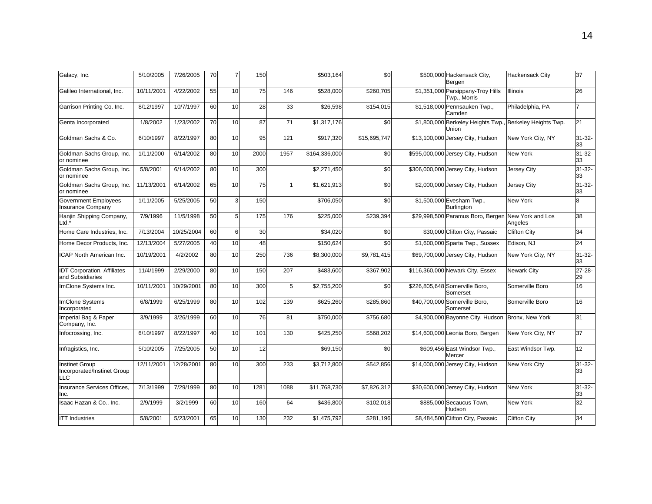| Galacy, Inc.                                                       | 5/10/2005  | 7/26/2005  | 70 | $\overline{7}$ | 150  |      | \$503,164     | \$0           | \$500,000 Hackensack City,<br>Bergen              | <b>Hackensack City</b>      | 37                |
|--------------------------------------------------------------------|------------|------------|----|----------------|------|------|---------------|---------------|---------------------------------------------------|-----------------------------|-------------------|
| Galileo International, Inc.                                        | 10/11/2001 | 4/22/2002  | 55 | 10             | 75   | 146  | \$528,000     | \$260,705     | \$1,351,000 Parsippany-Troy Hills<br>Twp., Morris | <b>Illinois</b>             | 26                |
| Garrison Printing Co. Inc.                                         | 8/12/1997  | 10/7/1997  | 60 | 10             | 28   | 33   | \$26,598      | \$154,015     | \$1,518,000 Pennsauken Twp.,<br>Camden            | Philadelphia, PA            |                   |
| Genta Incorporated                                                 | 1/8/2002   | 1/23/2002  | 70 | 10             | 87   | 71   | \$1,317,176   | \$0           | \$1,800,000 Berkeley Heights Twp.,<br>Union       | Berkeley Heights Twp.       | 21                |
| Goldman Sachs & Co.                                                | 6/10/1997  | 8/22/1997  | 80 | 10             | 95   | 121  | \$917,320     | \$15,695,747  | \$13,100,000 Jersey City, Hudson                  | New York City, NY           | $31 - 32 -$<br>33 |
| Goldman Sachs Group, Inc.<br>or nominee                            | 1/11/2000  | 6/14/2002  | 80 | 10             | 2000 | 1957 | \$164,336,000 | \$0           | \$595,000,000 Jersey City, Hudson                 | New York                    | $31 - 32 -$<br>33 |
| Goldman Sachs Group, Inc.<br>or nominee                            | 5/8/2001   | 6/14/2002  | 80 | 10             | 300  |      | \$2,271,450   | \$0           | \$306,000,000 Jersey City, Hudson                 | <b>Jersey City</b>          | $31 - 32 -$<br>33 |
| Goldman Sachs Group, Inc.<br>or nominee                            | 11/13/2001 | 6/14/2002  | 65 | 10             | 75   |      | \$1,621,913   | \$0           | \$2,000,000 Jersey City, Hudson                   | Jersey City                 | $31 - 32 -$<br>33 |
| <b>Government Employees</b><br><b>Insurance Company</b>            | 1/11/2005  | 5/25/2005  | 50 | з              | 150  |      | \$706,050     | \$0           | \$1,500,000 Evesham Twp.,<br><b>Burlington</b>    | New York                    | 8                 |
| Hanjin Shipping Company,<br>Ltd.*                                  | 7/9/1996   | 11/5/1998  | 50 | 5              | 175  | 176  | \$225,000     | \$239,394     | \$29,998,500 Paramus Boro, Bergen                 | New York and Los<br>Angeles | 38                |
| Home Care Industries, Inc.                                         | 7/13/2004  | 10/25/2004 | 60 | ĥ              | 30   |      | \$34,020      | \$0           | \$30,000 Clifton City, Passaic                    | Clifton City                | 34                |
| Home Decor Products, Inc.                                          | 12/13/2004 | 5/27/2005  | 40 | 10             | 48   |      | \$150,624     | $\frac{6}{5}$ | \$1,600,000 Sparta Twp., Sussex                   | Edison, NJ                  | 24                |
| <b>ICAP North American Inc.</b>                                    | 10/19/2001 | 4/2/2002   | 80 | 10             | 250  | 736  | \$8,300,000   | \$9,781,415   | \$69,700,000 Jersey City, Hudson                  | New York City, NY           | $31 - 32 -$<br>33 |
| <b>IDT Corporation, Affiliates</b><br>and Subsidiaries             | 11/4/1999  | 2/29/2000  | 80 | 10             | 150  | 207  | \$483,600     | \$367,902     | \$116,360,000 Newark City, Essex                  | Newark City                 | $27 - 28 -$<br>29 |
| ImClone Systems Inc.                                               | 10/11/2001 | 10/29/2001 | 80 | 10             | 300  | 5    | \$2,755,200   | \$0           | \$226,805,648 Somerville Boro,<br>Somerset        | Somerville Boro             | 16                |
| <b>ImClone Systems</b><br>Incorporated                             | 6/8/1999   | 6/25/1999  | 80 | 10             | 102  | 139  | \$625,260     | \$285,860     | \$40,700,000 Somerville Boro,<br>Somerset         | Somerville Boro             | 16                |
| Imperial Bag & Paper<br>Company, Inc.                              | 3/9/1999   | 3/26/1999  | 60 | 10             | 76   | 81   | \$750,000     | \$756,680     | \$4,900,000 Bayonne City, Hudson Bronx, New York  |                             | 31                |
| Infocrossing, Inc.                                                 | 6/10/1997  | 8/22/1997  | 40 | 10             | 101  | 130  | \$425,250     | \$568,202     | \$14,600,000 Leonia Boro, Bergen                  | New York City, NY           | 37                |
| Infragistics, Inc.                                                 | 5/10/2005  | 7/25/2005  | 50 | 10             | 12   |      | \$69,150      | \$0           | \$609,456 East Windsor Twp.,<br>Mercer            | East Windsor Twp.           | 12 <sup>2</sup>   |
| <b>Instinet Group</b><br>Incorporated/Instinet Group<br><b>LLC</b> | 12/11/2001 | 12/28/2001 | 80 | 10             | 300  | 233  | \$3,712,800   | \$542,856     | \$14,000,000 Jersey City, Hudson                  | New York City               | $31 - 32 -$<br>33 |
| Insurance Services Offices.<br>Inc.                                | 7/13/1999  | 7/29/1999  | 80 | 10             | 1281 | 1088 | \$11,768,730  | \$7,826,312   | \$30,600,000 Jersey City, Hudson                  | <b>New York</b>             | $31 - 32 -$<br>33 |
| Isaac Hazan & Co., Inc.                                            | 2/9/1999   | 3/2/1999   | 60 | 10             | 160  | 64   | \$436,800     | \$102,018     | \$885,000 Secaucus Town,<br>Hudson                | <b>New York</b>             | 32                |
| <b>ITT</b> Industries                                              | 5/8/2001   | 5/23/2001  | 65 | 10             | 130  | 232  | \$1,475,792   | \$281,196     | \$8,484,500 Clifton City, Passaic                 | Clifton City                | 34                |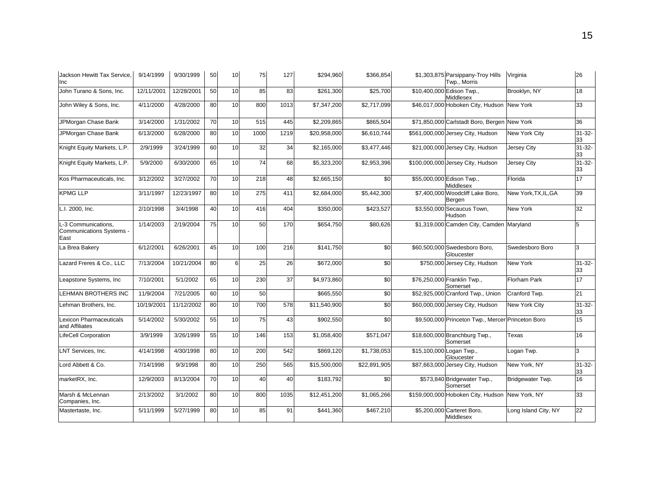| Jackson Hewitt Tax Service.<br>Inc                      | 9/14/1999  | 9/30/1999  | 50 | 10 | 75              | 127  | \$294,960    | \$366,854    | \$1,303,875 Parsippany-Troy Hills<br>Twp., Morris | Virginia             | 26                |
|---------------------------------------------------------|------------|------------|----|----|-----------------|------|--------------|--------------|---------------------------------------------------|----------------------|-------------------|
| John Turano & Sons, Inc.                                | 12/11/2001 | 12/28/2001 | 50 | 10 | 85              | 83   | \$261,300    | \$25,700     | \$10,400,000 Edison Twp.,<br>Middlesex            | Brooklyn, NY         | 18                |
| John Wiley & Sons, Inc.                                 | 4/11/2000  | 4/28/2000  | 80 | 10 | 800             | 1013 | \$7,347,200  | \$2,717,099  | \$46,017,000 Hoboken City, Hudson                 | <b>New York</b>      | 33                |
| JPMorgan Chase Bank                                     | 3/14/2000  | 1/31/2002  | 70 | 10 | 515             | 445  | \$2,209,865  | \$865,504    | \$71,850,000 Carlstadt Boro, Bergen New York      |                      | 36                |
| JPMorgan Chase Bank                                     | 6/13/2000  | 6/28/2000  | 80 | 10 | 1000            | 1219 | \$20,958,000 | \$6,610,744  | \$561,000,000 Jersey City, Hudson                 | New York City        | $31 - 32 -$<br>33 |
| Knight Equity Markets, L.P.                             | 2/9/1999   | 3/24/1999  | 60 | 10 | 32              | 34   | \$2,165,000  | \$3,477,446  | \$21,000,000 Jersey City, Hudson                  | <b>Jersey City</b>   | $31 - 32 -$<br>33 |
| Knight Equity Markets, L.P.                             | 5/9/2000   | 6/30/2000  | 65 | 10 | $\overline{74}$ | 68   | \$5,323,200  | \$2,953,396  | \$100,000,000 Jersey City, Hudson                 | Jersey City          | $31 - 32 -$<br>33 |
| Kos Pharmaceuticals, Inc.                               | 3/12/2002  | 3/27/2002  | 70 | 10 | 218             | 48   | \$2,665,150  | \$0          | \$55,000,000 Edison Twp.,<br>Middlesex            | Florida              | 17                |
| <b>KPMG LLP</b>                                         | 3/11/1997  | 12/23/1997 | 80 | 10 | 275             | 411  | \$2,684,000  | \$5,442,300  | \$7,400,000 Woodcliff Lake Boro,<br>Bergen        | New York, TX, IL, GA | 39                |
| L.I. 2000, Inc.                                         | 2/10/1998  | 3/4/1998   | 40 | 10 | 416             | 404  | \$350,000    | \$423,527    | \$3,550,000 Secaucus Town,<br>Hudson              | New York             | 32                |
| L-3 Communications,<br>Communications Systems -<br>East | 1/14/2003  | 2/19/2004  | 75 | 10 | 50              | 170  | \$654,750    | \$80,626     | \$1,319,000 Camden City, Camden Maryland          |                      | 5                 |
| La Brea Bakery                                          | 6/12/2001  | 6/26/2001  | 45 | 10 | 100             | 216  | \$141,750    | \$0          | \$60,500,000 Swedesboro Boro,<br>Gloucester       | Swedesboro Boro      | 3                 |
| Lazard Freres & Co., LLC                                | 7/13/2004  | 10/21/2004 | 80 | 6  | 25              | 26   | \$672,000    | \$0          | \$750,000 Jersey City, Hudson                     | <b>New York</b>      | $31 - 32 -$<br>33 |
| Leapstone Systems, Inc.                                 | 7/10/2001  | 5/1/2002   | 65 | 10 | 230             | 37   | \$4,973,860  | \$0          | \$76,250,000 Franklin Twp.,<br>Somerset           | Florham Park         | 17                |
| LEHMAN BROTHERS INC                                     | 11/9/2004  | 7/21/2005  | 60 | 10 | 50              |      | \$665,550    | \$0          | \$52,925,000 Cranford Twp., Union                 | Cranford Twp.        | 21                |
| Lehman Brothers, Inc.                                   | 10/19/2001 | 11/12/2002 | 80 | 10 | 700             | 578  | \$11,540,900 | \$0          | \$60,000,000 Jersey City, Hudson                  | New York City        | $31 - 32 -$<br>33 |
| Lexicon Pharmaceuticals<br>and Affiliates               | 5/14/2002  | 5/30/2002  | 55 | 10 | 75              | 43   | \$902,550    | \$0          | \$9,500,000 Princeton Twp., Mercer Princeton Boro |                      | 15                |
| LifeCell Corporation                                    | 3/9/1999   | 3/26/1999  | 55 | 10 | 146             | 153  | \$1,058,400  | \$571,047    | \$18,600,000 Branchburg Twp.,<br>Somerset         | Texas                | 16                |
| LNT Services, Inc.                                      | 4/14/1998  | 4/30/1998  | 80 | 10 | 200             | 542  | \$869,120    | \$1,738,053  | \$15,100,000 Logan Twp.,<br>Gloucester            | Logan Twp.           | 3                 |
| Lord Abbett & Co.                                       | 7/14/1998  | 9/3/1998   | 80 | 10 | 250             | 565  | \$15,500,000 | \$22,891,905 | \$87,663,000 Jersey City, Hudson                  | New York, NY         | $31 - 32 -$<br>33 |
| marketRX, Inc.                                          | 12/9/2003  | 8/13/2004  | 70 | 10 | 40              | 40   | \$183,792    | \$0          | \$573,840 Bridgewater Twp.,<br>Somerset           | Bridgewater Twp.     | 16                |
| Marsh & McLennan<br>Companies, Inc.                     | 2/13/2002  | 3/1/2002   | 80 | 10 | 800             | 1035 | \$12,451,200 | \$1,065,266  | \$159,000,000 Hoboken City, Hudson New York, NY   |                      | 33                |
| Mastertaste, Inc.                                       | 5/11/1999  | 5/27/1999  | 80 | 10 | 85              | 91   | \$441,360    | \$467,210    | \$5,200,000 Carteret Boro,<br>Middlesex           | Long Island City, NY | 22                |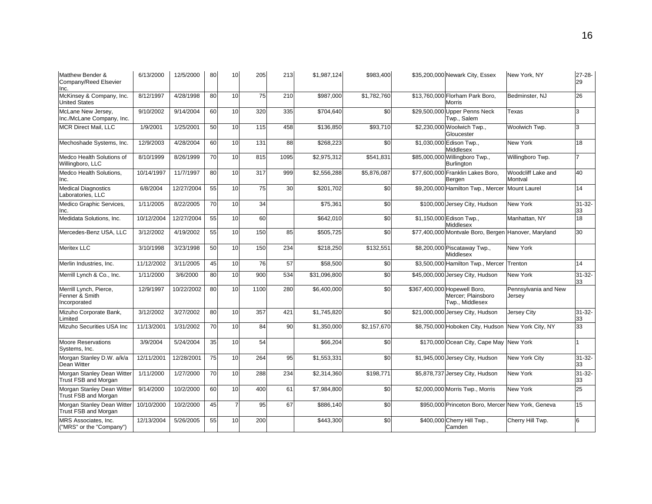| Matthew Bender &<br>Company/Reed Elsevier<br>Inc.        | 6/13/2000  | 12/5/2000  | 80 | 10              | 205  | 213  | \$1,987,124  | \$983,400   | \$35,200,000 Newark City, Essex                                       | New York, NY                   | $27 - 28 -$<br>29 |
|----------------------------------------------------------|------------|------------|----|-----------------|------|------|--------------|-------------|-----------------------------------------------------------------------|--------------------------------|-------------------|
| McKinsey & Company, Inc.<br><b>United States</b>         | 8/12/1997  | 4/28/1998  | 80 | 10              | 75   | 210  | \$987,000    | \$1,782,760 | \$13,760,000 Florham Park Boro,<br><b>Morris</b>                      | Bedminster, NJ                 | 26                |
| McLane New Jersey,<br>Inc./McLane Company, Inc.          | 9/10/2002  | 9/14/2004  | 60 | 10              | 320  | 335  | \$704,640    | \$0         | \$29,500,000 Upper Penns Neck<br>Twp., Salem                          | Texas                          | 3                 |
| MCR Direct Mail, LLC                                     | 1/9/2001   | 1/25/2001  | 50 | 10              | 115  | 458  | \$136,850    | \$93,710    | \$2,230,000 Woolwich Twp.,<br>Gloucester                              | Woolwich Twp.                  | 3                 |
| Mechoshade Systems, Inc.                                 | 12/9/2003  | 4/28/2004  | 60 | 10              | 131  | 88   | \$268,223    | \$0         | \$1,030,000 Edison Twp.,<br>Middlesex                                 | New York                       | 18                |
| Medco Health Solutions of<br>Willingboro, LLC            | 8/10/1999  | 8/26/1999  | 70 | 10              | 815  | 1095 | \$2,975,312  | \$541,831   | \$85,000,000 Willingboro Twp.,<br><b>Burlington</b>                   | Willingboro Twp.               |                   |
| Medco Health Solutions,<br>Inc.                          | 10/14/1997 | 11/7/1997  | 80 | 10              | 317  | 999  | \$2,556,288  | \$5,876,087 | \$77,600,000 Franklin Lakes Boro,<br>Bergen                           | Woodcliff Lake and<br>Montval  | 40                |
| <b>Medical Diagnostics</b><br>Laboratories, LLC          | 6/8/2004   | 12/27/2004 | 55 | 10              | 75   | 30   | \$201,702    | \$0         | \$9,200,000 Hamilton Twp., Mercer                                     | <b>Mount Laurel</b>            | 14                |
| Medico Graphic Services,<br>Inc.                         | 1/11/2005  | 8/22/2005  | 70 | $\overline{10}$ | 34   |      | \$75,361     | \$0         | \$100,000 Jersey City, Hudson                                         | New York                       | $31 - 32 -$<br>33 |
| Medidata Solutions, Inc.                                 | 10/12/2004 | 12/27/2004 | 55 | 10              | 60   |      | \$642,010    | \$0         | \$1,150,000 Edison Twp.,<br>Middlesex                                 | Manhattan, NY                  | 18                |
| Mercedes-Benz USA, LLC                                   | 3/12/2002  | 4/19/2002  | 55 | 10              | 150  | 85   | \$505,725    | \$0         | \$77,400,000 Montvale Boro, Bergen                                    | Hanover, Maryland              | 30                |
| <b>Meritex LLC</b>                                       | 3/10/1998  | 3/23/1998  | 50 | 10              | 150  | 234  | \$218,250    | \$132,551   | \$8,200,000 Piscataway Twp.,<br>Middlesex                             | New York                       |                   |
| Merlin Industries, Inc.                                  | 11/12/2002 | 3/11/2005  | 45 | $\overline{10}$ | 76   | 57   | \$58,500     | \$0         | \$3,500,000 Hamilton Twp., Mercer                                     | Trenton                        | 14                |
| Merrill Lynch & Co., Inc.                                | 1/11/2000  | 3/6/2000   | 80 | 10              | 900  | 534  | \$31,096,800 | \$0         | \$45,000,000 Jersey City, Hudson                                      | New York                       | $31 - 32 -$<br>33 |
| Merrill Lynch, Pierce,<br>Fenner & Smith<br>Incorporated | 12/9/1997  | 10/22/2002 | 80 | 10              | 1100 | 280  | \$6,400,000  | \$0         | \$367,400,000 Hopewell Boro,<br>Mercer; Plainsboro<br>Twp., Middlesex | Pennsylvania and New<br>Jersev |                   |
| Mizuho Corporate Bank,<br>Limited                        | 3/12/2002  | 3/27/2002  | 80 | 10              | 357  | 421  | \$1,745,820  | \$0         | \$21,000,000 Jersey City, Hudson                                      | Jersey City                    | $31 - 32 -$<br>33 |
| Mizuho Securities USA Inc                                | 11/13/2001 | 1/31/2002  | 70 | 10              | 84   | 90   | \$1,350,000  | \$2,157,670 | \$8,750,000 Hoboken City, Hudson                                      | New York City, NY              | 33                |
| <b>Moore Reservations</b><br>Systems, Inc.               | 3/9/2004   | 5/24/2004  | 35 | 10              | 54   |      | \$66,204     | \$0         | \$170,000 Ocean City, Cape May                                        | New York                       |                   |
| Morgan Stanley D.W. a/k/a<br>Dean Witter                 | 12/11/2001 | 12/28/2001 | 75 | 10              | 264  | 95   | \$1,553,331  | \$0         | \$1,945,000 Jersey City, Hudson                                       | New York City                  | $31 - 32 -$<br>33 |
| Morgan Stanley Dean Witter<br>Trust FSB and Morgan       | 1/11/2000  | 1/27/2000  | 70 | 10              | 288  | 234  | \$2,314,360  | \$198,77    | \$5,878,737 Jersey City, Hudson                                       | New York                       | $31 - 32 -$<br>33 |
| Morgan Stanley Dean Witter<br>Trust FSB and Morgan       | 9/14/2000  | 10/2/2000  | 60 | 10              | 400  | 61   | \$7,984,800  | \$0         | \$2,000,000 Morris Twp., Morris                                       | New York                       | 25                |
| Morgan Stanley Dean Witter<br>Trust FSB and Morgan       | 10/10/2000 | 10/2/2000  | 45 | 7               | 95   | 67   | \$886,140    | \$0         | \$950,000 Princeton Boro, Mercer New York, Geneva                     |                                | 15                |
| MRS Associates, Inc.<br>("MRS" or the "Company")         | 12/13/2004 | 5/26/2005  | 55 | 10              | 200  |      | \$443,300    | \$0         | \$400,000 Cherry Hill Twp.,<br>Camden                                 | Cherry Hill Twp.               | 6                 |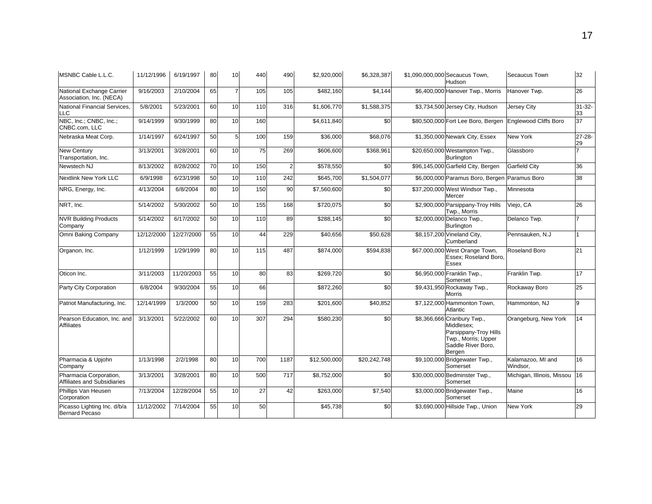| MSNBC Cable L.L.C.                                    | 11/12/1996 | 6/19/1997  | 80 | 10             | 440 | 490            | \$2,920,000          | \$6,328,387     | \$1,090,000,000 Secaucus Town,<br>Hudson                                                                                 | Secaucus Town                 | 32                |
|-------------------------------------------------------|------------|------------|----|----------------|-----|----------------|----------------------|-----------------|--------------------------------------------------------------------------------------------------------------------------|-------------------------------|-------------------|
| National Exchange Carrier<br>Association, Inc. (NECA) | 9/16/2003  | 2/10/2004  | 65 |                | 105 | 105            | \$482,160            | \$4,144         | \$6,400,000 Hanover Twp., Morris                                                                                         | Hanover Twp.                  | 26                |
| National Financial Services.<br>LLC                   | 5/8/2001   | 5/23/2001  | 60 | 10             | 110 | 316            | \$1,606,770          | \$1,588,375     | \$3,734,500 Jersey City, Hudson                                                                                          | <b>Jersey City</b>            | $31 - 32 -$<br>33 |
| NBC, Inc.; CNBC, Inc.;<br>CNBC.com, LLC               | 9/14/1999  | 9/30/1999  | 80 | 10             | 160 |                | \$4,611,840          | \$0             | \$80,500,000 Fort Lee Boro, Bergen                                                                                       | <b>Englewood Cliffs Boro</b>  | 37                |
| Nebraska Meat Corp.                                   | 1/14/1997  | 6/24/1997  | 50 | 5 <sup>1</sup> | 100 | 159            | \$36,000             | \$68,076        | \$1,350,000 Newark City, Essex                                                                                           | New York                      | 27-28-<br>29      |
| <b>New Century</b><br>Transportation, Inc.            | 3/13/2001  | 3/28/2001  | 60 | 10             | 75  | 269            | \$606,600            | \$368,961       | \$20,650,000 Westampton Twp.,<br><b>Burlington</b>                                                                       | Glassboro                     | $\overline{7}$    |
| Newstech NJ                                           | 8/13/2002  | 8/28/2002  | 70 | 10             | 150 | $\overline{2}$ | \$578,550            | $\overline{30}$ | \$96,145,000 Garfield City, Bergen                                                                                       | <b>Garfield City</b>          | 36                |
| <b>Nextlink New York LLC</b>                          | 6/9/1998   | 6/23/1998  | 50 | 10             | 110 | 242            | \$645,700            | \$1,504,077     | \$6,000,000 Paramus Boro, Bergen                                                                                         | Paramus Boro                  | 38                |
| NRG, Energy, Inc.                                     | 4/13/2004  | 6/8/2004   | 80 | 10             | 150 | 90             | \$7,560,600          | \$0             | \$37,200,000 West Windsor Twp.,<br>Mercer                                                                                | Minnesota                     |                   |
| NRT, Inc.                                             | 5/14/2002  | 5/30/2002  | 50 | 10             | 155 | 168            | \$720,075            | \$0             | \$2,900,000 Parsippany-Troy Hills<br>Twp., Morris                                                                        | Viejo, CA                     | 26                |
| <b>NVR Building Products</b><br>Company               | 5/14/2002  | 6/17/2002  | 50 | 10             | 110 | 89             | \$288,145            | \$0             | \$2,000,000 Delanco Twp.,<br><b>Burlington</b>                                                                           | Delanco Twp.                  |                   |
| Omni Baking Company                                   | 12/12/2000 | 12/27/2000 | 55 | 10             | 44  | 229            | \$40,656             | \$50,628        | \$8,157,200 Vineland City,<br>Cumberland                                                                                 | Pennsauken, N.J               |                   |
| Organon, Inc.                                         | 1/12/1999  | 1/29/1999  | 80 | 10             | 115 | 487            | \$874,000            | \$594,838       | \$67,000,000 West Orange Town,<br>Essex; Roseland Boro,<br>Essex                                                         | Roseland Boro                 | 21                |
| Oticon Inc.                                           | 3/11/2003  | 11/20/2003 | 55 | 10             | 80  | 83             | \$269,720            | \$0             | \$6,950,000 Franklin Twp.,<br>Somerset                                                                                   | Franklin Twp.                 | 17                |
| Party City Corporation                                | 6/8/2004   | 9/30/2004  | 55 | 10             | 66  |                | \$872,260            | \$0             | \$9,431,950 Rockaway Twp.,<br>Morris                                                                                     | Rockaway Boro                 | 25                |
| Patriot Manufacturing, Inc.                           | 12/14/1999 | 1/3/2000   | 50 | 10             | 159 | 283            | \$201,600            | \$40,852        | \$7,122,000 Hammonton Town,<br>Atlantic                                                                                  | Hammonton, NJ                 | 9                 |
| Pearson Education, Inc. and<br><b>Affiliates</b>      | 3/13/2001  | 5/22/2002  | 60 | 10             | 307 | 294            | \$580,230            | \$0             | \$8,366,666 Cranbury Twp.,<br>Middlesex:<br>Parsippany-Troy Hills<br>Twp., Morris; Upper<br>Saddle River Boro,<br>Bergen | Orangeburg, New York          | 14                |
| Pharmacia & Upjohn<br>Company                         | 1/13/1998  | 2/2/1998   | 80 | 10             | 700 | 1187           | \$12,500,000         | \$20,242,748    | \$9,100,000 Bridgewater Twp.,<br>Somerset                                                                                | Kalamazoo. MI and<br>Windsor, | 16                |
| Pharmacia Corporation,<br>Affiliates and Subsidiaries | 3/13/2001  | 3/28/2001  | 80 | 10             | 500 | 717            | \$8,752,000          | \$0             | \$30,000,000 Bedminster Twp.,<br>Somerset                                                                                | Michigan, Illinois, Missou    | 16                |
| Phillips Van Heusen<br>Corporation                    | 7/13/2004  | 12/28/2004 | 55 | 10             | 27  | 42             | \$263,000            | \$7,540         | \$3,000,000 Bridgewater Twp.,<br>Somerset                                                                                | Maine                         | 16                |
| Picasso Lighting Inc. d/b/a<br><b>Bernard Pecaso</b>  | 11/12/2002 | 7/14/2004  | 55 | 10             | 50  |                | $\overline{$45,738}$ | \$0             | \$3,690,000 Hillside Twp., Union                                                                                         | New York                      | 29                |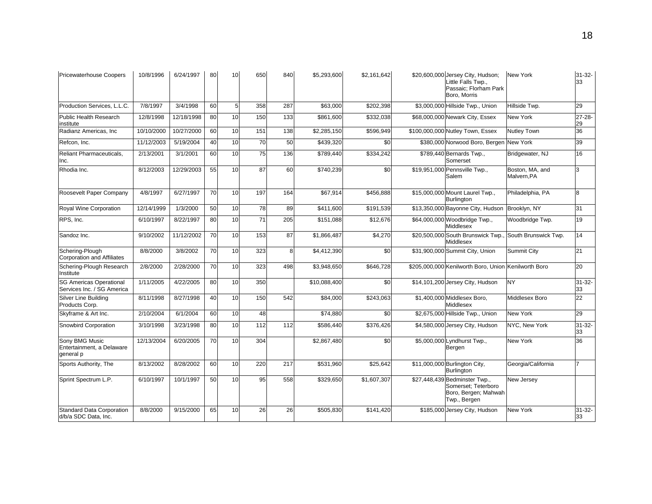| <b>Pricewaterhouse Coopers</b>                               | 10/8/1996  | 6/24/1997  | 80 | 10             | 650 | 840 | \$5,293,600  | \$2,161,642 | \$20,600,000 Jersey City, Hudson;<br>Little Falls Twp.,<br>Passaic; Florham Park<br>Boro, Morris | <b>New York</b>                | $31 - 32 -$<br>33 |
|--------------------------------------------------------------|------------|------------|----|----------------|-----|-----|--------------|-------------|--------------------------------------------------------------------------------------------------|--------------------------------|-------------------|
| Production Services, L.L.C.                                  | 7/8/1997   | 3/4/1998   | 60 | 5 <sup>1</sup> | 358 | 287 | \$63,000     | \$202,398   | \$3,000,000 Hillside Twp., Union                                                                 | Hillside Twp.                  | 29                |
| <b>Public Health Research</b><br>institute                   | 12/8/1998  | 12/18/1998 | 80 | 10             | 150 | 133 | \$861,600    | \$332,038   | \$68,000,000 Newark City, Essex                                                                  | New York                       | $27 - 28 -$<br>29 |
| Radianz Americas, Inc                                        | 10/10/2000 | 10/27/2000 | 60 | 10             | 151 | 138 | \$2,285,150  | \$596,949   | \$100,000,000 Nutley Town, Essex                                                                 | <b>Nutley Town</b>             | 36                |
| Refcon, Inc.                                                 | 11/12/2003 | 5/19/2004  | 40 | 10             | 70  | 50  | \$439,320    | \$0         | \$380,000 Norwood Boro, Bergen                                                                   | <b>New York</b>                | 39                |
| <b>Reliant Pharmaceuticals.</b><br>Inc.                      | 2/13/2001  | 3/1/2001   | 60 | 10             | 75  | 136 | \$789,440    | \$334,242   | \$789,440 Bernards Twp.,<br>Somerset                                                             | Bridgewater, NJ                | 16                |
| Rhodia Inc.                                                  | 8/12/2003  | 12/29/2003 | 55 | 10             | 87  | 60  | \$740,239    | \$0         | \$19,951,000 Pennsville Twp.,<br>Salem                                                           | Boston, MA, and<br>Malvern, PA | 3                 |
| Roosevelt Paper Company                                      | 4/8/1997   | 6/27/1997  | 70 | 10             | 197 | 164 | \$67,914     | \$456,888   | \$15,000,000 Mount Laurel Twp.,<br><b>Burlington</b>                                             | Philadelphia, PA               | 8                 |
| Royal Wine Corporation                                       | 12/14/1999 | 1/3/2000   | 50 | 10             | 78  | 89  | \$411,600    | \$191,539   | \$13,350,000 Bayonne City, Hudson                                                                | Brooklyn, NY                   | 31                |
| RPS, Inc.                                                    | 6/10/1997  | 8/22/1997  | 80 | 10             | 71  | 205 | \$151,088    | \$12,676    | \$64,000,000 Woodbridge Twp.,<br><b>Middlesex</b>                                                | Woodbridge Twp.                | 19                |
| Sandoz Inc.                                                  | 9/10/2002  | 11/12/2002 | 70 | 10             | 153 | 87  | \$1,866,487  | \$4,270     | \$20,500,000 South Brunswick Twp.<br>Middlesex                                                   | South Brunswick Twp.           | 14                |
| Schering-Plough<br><b>Corporation and Affiliates</b>         | 8/8/2000   | 3/8/2002   | 70 | 10             | 323 | 8   | \$4,412,390  | \$0         | \$31,900,000 Summit City, Union                                                                  | <b>Summit City</b>             | 21                |
| Schering-Plough Research<br>Institute                        | 2/8/2000   | 2/28/2000  | 70 | 10             | 323 | 498 | \$3,948,650  | \$646,728   | \$205,000,000 Kenilworth Boro, Union Kenilworth Boro                                             |                                | 20                |
| <b>SG Americas Operational</b><br>Services Inc. / SG America | 1/11/2005  | 4/22/2005  | 80 | 10             | 350 |     | \$10,088,400 | \$0         | \$14,101,200 Jersey City, Hudson                                                                 | NY                             | $31 - 32 -$<br>33 |
| Silver Line Building<br>Products Corp.                       | 8/11/1998  | 8/27/1998  | 40 | 10             | 150 | 542 | \$84,000     | \$243,063   | \$1,400,000 Middlesex Boro,<br>Middlesex                                                         | Middlesex Boro                 | 22                |
| Skyframe & Art Inc.                                          | 2/10/2004  | 6/1/2004   | 60 | 10             | 48  |     | \$74,880     | \$0         | \$2,675,000 Hillside Twp., Union                                                                 | New York                       | 29                |
| Snowbird Corporation                                         | 3/10/1998  | 3/23/1998  | 80 | 10             | 112 | 112 | \$586,440    | \$376,426   | \$4,580,000 Jersey City, Hudson                                                                  | NYC, New York                  | $31 - 32 -$<br>33 |
| Sony BMG Music<br>Entertainment, a Delaware<br>general p     | 12/13/2004 | 6/20/2005  | 70 | 10             | 304 |     | \$2,867,480  | \$0         | \$5,000,000 Lyndhurst Twp.,<br>Bergen                                                            | New York                       | 36                |
| Sports Authority, The                                        | 8/13/2002  | 8/28/2002  | 60 | 10             | 220 | 217 | \$531,960    | \$25,642    | \$11,000,000 Burlington City,<br><b>Burlington</b>                                               | Georgia/California             |                   |
| Sprint Spectrum L.P.                                         | 6/10/1997  | 10/1/1997  | 50 | 10             | 95  | 558 | \$329,650    | \$1,607,307 | \$27,448,439 Bedminster Twp.,<br>Somerset: Teterboro<br>Boro, Bergen; Mahwah<br>Twp., Bergen     | New Jersey                     |                   |
| Standard Data Corporation<br>d/b/a SDC Data, Inc.            | 8/8/2000   | 9/15/2000  | 65 | 10             | 26  | 26  | \$505,830    | \$141,420   | \$185,000 Jersey City, Hudson                                                                    | <b>New York</b>                | $31 - 32 -$<br>33 |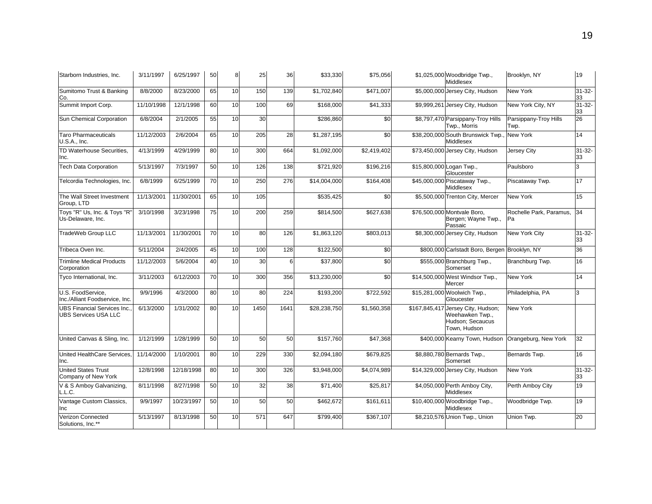| Starborn Industries, Inc.                                         | 3/11/1997  | 6/25/1997  | 50 | 8  | 25   | 36   | \$33,330                 | \$75,056    | \$1,025,000 Woodbridge Twp.,<br>Middlesex                                                 | Brooklyn, NY                  | 19                |
|-------------------------------------------------------------------|------------|------------|----|----|------|------|--------------------------|-------------|-------------------------------------------------------------------------------------------|-------------------------------|-------------------|
| Sumitomo Trust & Banking<br>Co.                                   | 8/8/2000   | 8/23/2000  | 65 | 10 | 150  | 139  | \$1,702,840              | \$471,007   | \$5,000,000 Jersey City, Hudson                                                           | <b>New York</b>               | $31 - 32 -$<br>33 |
| Summit Import Corp.                                               | 11/10/1998 | 12/1/1998  | 60 | 10 | 100  | 69   | \$168,000                | \$41,333    | \$9,999,261 Jersey City, Hudson                                                           | New York City, NY             | $31 - 32 -$<br>33 |
| Sun Chemical Corporation                                          | 6/8/2004   | 2/1/2005   | 55 | 10 | 30   |      | \$286,860                | \$0         | \$8,797,470 Parsippany-Troy Hills<br>Twp., Morris                                         | Parsippany-Troy Hills<br>Twp. | 26                |
| <b>Taro Pharmaceuticals</b><br>U.S.A., Inc.                       | 11/12/2003 | 2/6/2004   | 65 | 10 | 205  | 28   | \$1,287,195              | \$0         | \$38,200,000 South Brunswick Twp.<br>Middlesex                                            | New York                      | 14                |
| TD Waterhouse Securities,<br>Inc.                                 | 4/13/1999  | 4/29/1999  | 80 | 10 | 300  | 664  | \$1,092,000              | \$2,419,402 | \$73,450,000 Jersey City, Hudson                                                          | Jersey City                   | $31 - 32 -$<br>33 |
| <b>Tech Data Corporation</b>                                      | 5/13/1997  | 7/3/1997   | 50 | 10 | 126  | 138  | \$721,920                | \$196,216   | \$15,800,000 Logan Twp.,<br>Gloucester                                                    | Paulsboro                     | 3                 |
| Telcordia Technologies, Inc.                                      | 6/8/1999   | 6/25/1999  | 70 | 10 | 250  | 276  | $\overline{$}14,004,000$ | \$164,408   | \$45,000,000 Piscataway Twp.,<br><b>Middlesex</b>                                         | Piscataway Twp.               | 17                |
| The Wall Street Investment<br>Group, LTD                          | 11/13/2001 | 11/30/2001 | 65 | 10 | 105  |      | \$535,425                | \$0         | \$5,500,000 Trenton City, Mercer                                                          | New York                      | 15                |
| Toys "R" Us, Inc. & Toys "R'<br>Us-Delaware, Inc.                 | 3/10/1998  | 3/23/1998  | 75 | 10 | 200  | 259  | \$814,500                | \$627,638   | \$76,500,000 Montvale Boro,<br>Bergen; Wayne Twp.,<br>Passaic                             | Rochelle Park, Paramus,<br>Pa | 34                |
| TradeWeb Group LLC                                                | 11/13/2001 | 11/30/2001 | 70 | 10 | 80   | 126  | \$1,863,120              | \$803,013   | \$8,300,000 Jersey City, Hudson                                                           | New York City                 | $31 - 32 -$<br>33 |
| Tribeca Oven Inc.                                                 | 5/11/2004  | 2/4/2005   | 45 | 10 | 100  | 128  | \$122,500                | \$0         | \$800,000 Carlstadt Boro, Bergen Brooklyn, NY                                             |                               | 36                |
| <b>Trimline Medical Products</b><br>Corporation                   | 11/12/2003 | 5/6/2004   | 40 | 10 | 30   | 6    | \$37,800                 | \$0         | \$555,000 Branchburg Twp.,<br>Somerset                                                    | Branchburg Twp.               | 16                |
| Tyco International, Inc.                                          | 3/11/2003  | 6/12/2003  | 70 | 10 | 300  | 356  | \$13,230,000             | \$0         | \$14,500,000 West Windsor Twp.,<br>Mercer                                                 | New York                      | 14                |
| U.S. FoodService.<br>Inc./Alliant Foodservice, Inc.               | 9/9/1996   | 4/3/2000   | 80 | 10 | 80   | 224  | \$193,200                | \$722,592   | \$15,281,000 Woolwich Twp.,<br>Gloucester                                                 | Philadelphia, PA              | 3                 |
| <b>UBS Financial Services Inc.</b><br><b>UBS Services USA LLC</b> | 6/13/2000  | 1/31/2002  | 80 | 10 | 1450 | 1641 | \$28,238,750             | \$1,560,358 | \$167,845,417 Jersey City, Hudson;<br>Weehawken Twp.,<br>Hudson; Secaucus<br>Town, Hudson | <b>New York</b>               |                   |
| United Canvas & Sling, Inc.                                       | 1/12/1999  | 1/28/1999  | 50 | 10 | 50   | 50   | \$157,760                | \$47,368    | \$400,000 Kearny Town, Hudson                                                             | Orangeburg, New York          | 32                |
| United HealthCare Services.<br>Inc.                               | 11/14/2000 | 1/10/2001  | 80 | 10 | 229  | 330  | \$2,094,180              | \$679,825   | \$8,880,780 Bernards Twp.,<br>Somerset                                                    | Bernards Twp.                 | 16                |
| <b>United States Trust</b><br>Company of New York                 | 12/8/1998  | 12/18/1998 | 80 | 10 | 300  | 326  | \$3,948,000              | \$4,074,989 | \$14,329,000 Jersey City, Hudson                                                          | <b>New York</b>               | $31 - 32 -$<br>33 |
| V & S Amboy Galvanizing,<br>L.L.C.                                | 8/11/1998  | 8/27/1998  | 50 | 10 | 32   | 38   | \$71,400                 | \$25,817    | \$4,050,000 Perth Amboy City,<br>Middlesex                                                | Perth Amboy City              | 19                |
| Vantage Custom Classics,<br>Inc                                   | 9/9/1997   | 10/23/1997 | 50 | 10 | 50   | 50   | \$462,672                | \$161,611   | \$10,400,000 Woodbridge Twp.,<br><b>Middlesex</b>                                         | Woodbridge Twp.               | 19                |
| <b>Verizon Connected</b><br>Solutions, Inc.**                     | 5/13/1997  | 8/13/1998  | 50 | 10 | 571  | 647  | \$799,400                | \$367,107   | \$8,210,576 Union Twp., Union                                                             | Union Twp.                    | 20                |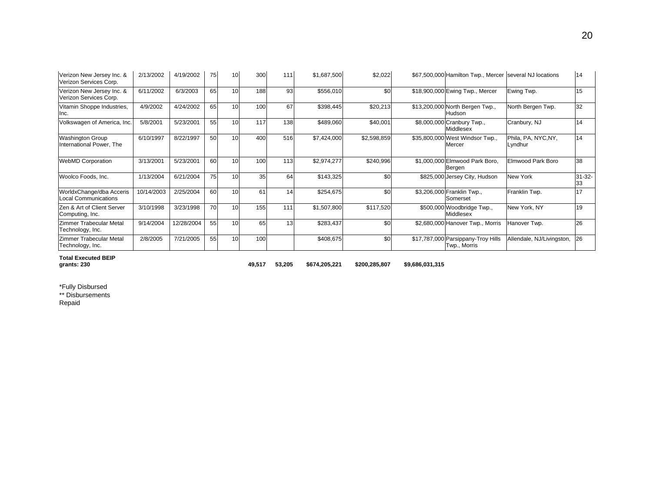| Verizon New Jersey Inc. &<br>Verizon Services Corp.     | 2/13/2002  | 4/19/2002  | 75 | 10              | 300 | 111 | \$1,687,500 | \$2,022     | \$67,500,000 Hamilton Twp., Mercer several NJ locations |                                | 14                |
|---------------------------------------------------------|------------|------------|----|-----------------|-----|-----|-------------|-------------|---------------------------------------------------------|--------------------------------|-------------------|
| Verizon New Jersey Inc. &<br>Verizon Services Corp.     | 6/11/2002  | 6/3/2003   | 65 | 10 <sup>1</sup> | 188 | 93  | \$556,010   | \$0         | \$18,900,000 Ewing Twp., Mercer                         | Ewing Twp.                     | 15                |
| Vitamin Shoppe Industries,<br>Inc.                      | 4/9/2002   | 4/24/2002  | 65 | 10              | 100 | 67  | \$398,445   | \$20,213    | \$13,200,000 North Bergen Twp.,<br>Hudson               | North Bergen Twp.              | 32                |
| Volkswagen of America, Inc.                             | 5/8/2001   | 5/23/2001  | 55 | 10              | 117 | 138 | \$489,060   | \$40,001    | \$8,000,000 Cranbury Twp.,<br><b>Middlesex</b>          | Cranbury, NJ                   | 14                |
| <b>Washington Group</b><br>International Power, The     | 6/10/1997  | 8/22/1997  | 50 | 10              | 400 | 516 | \$7,424,000 | \$2,598,859 | \$35,800,000 West Windsor Twp.,<br>Mercer               | Phila, PA, NYC, NY,<br>Lyndhur | 14                |
| <b>WebMD Corporation</b>                                | 3/13/2001  | 5/23/2001  | 60 | 10              | 100 | 113 | \$2,974,277 | \$240,996   | \$1,000,000 Elmwood Park Boro,<br>Bergen                | Elmwood Park Boro              | 38                |
| Woolco Foods, Inc.                                      | 1/13/2004  | 6/21/2004  | 75 | 10              | 35  | 64  | \$143,325   | \$0         | \$825,000 Jersey City, Hudson                           | New York                       | $31 - 32 -$<br>33 |
| WorldxChange/dba Acceris<br><b>Local Communications</b> | 10/14/2003 | 2/25/2004  | 60 | 10 <sup>1</sup> | 61  | 14  | \$254,675   | \$0         | \$3,206,000 Franklin Twp.,<br>Somerset                  | Franklin Twp.                  | 17                |
| Zen & Art of Client Server<br>Computing, Inc.           | 3/10/1998  | 3/23/1998  | 70 | 10              | 155 | 111 | \$1,507,800 | \$117,520   | \$500,000 Woodbridge Twp.,<br>Middlesex                 | New York, NY                   | 19                |
| <b>Zimmer Trabecular Metal</b><br>Technology, Inc.      | 9/14/2004  | 12/28/2004 | 55 | 10              | 65  | 13  | \$283,437   | \$0         | \$2,680,000 Hanover Twp., Morris                        | Hanover Twp.                   | 26                |
| Zimmer Trabecular Metal<br>Technology, Inc.             | 2/8/2005   | 7/21/2005  | 55 | 10              | 100 |     | \$408,675   | \$0         | \$17,787,000 Parsippany-Troy Hills<br>Twp., Morris      | Allendale, NJ/Livingston,      | <b>26</b>         |

**Total Executed BEIP** 

**grants: 230 49,517 53,205 \$674,205,221 \$200,285,807 \$9,686,031,315** 

\*Fully Disbursed \*\* Disbursements Repaid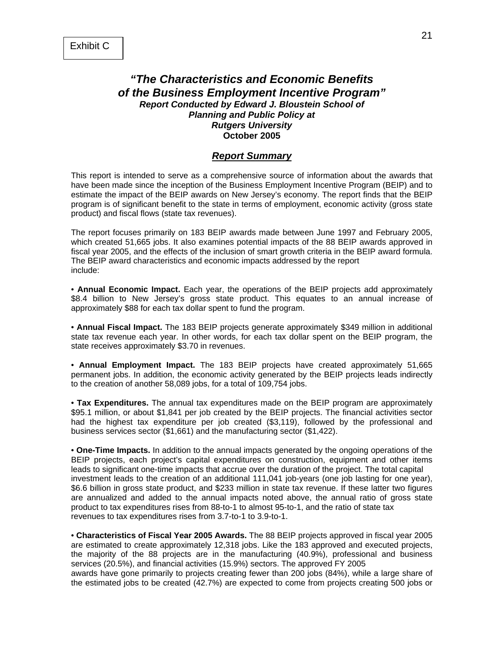# *"The Characteristics and Economic Benefits of the Business Employment Incentive Program" Report Conducted by Edward J. Bloustein School of Planning and Public Policy at Rutgers University* **October 2005**

#### *Report Summary*

This report is intended to serve as a comprehensive source of information about the awards that have been made since the inception of the Business Employment Incentive Program (BEIP) and to estimate the impact of the BEIP awards on New Jersey's economy. The report finds that the BEIP program is of significant benefit to the state in terms of employment, economic activity (gross state product) and fiscal flows (state tax revenues).

The report focuses primarily on 183 BEIP awards made between June 1997 and February 2005, which created 51,665 jobs. It also examines potential impacts of the 88 BEIP awards approved in fiscal year 2005, and the effects of the inclusion of smart growth criteria in the BEIP award formula. The BEIP award characteristics and economic impacts addressed by the report include:

• **Annual Economic Impact.** Each year, the operations of the BEIP projects add approximately \$8.4 billion to New Jersey's gross state product. This equates to an annual increase of approximately \$88 for each tax dollar spent to fund the program.

• **Annual Fiscal Impact.** The 183 BEIP projects generate approximately \$349 million in additional state tax revenue each year. In other words, for each tax dollar spent on the BEIP program, the state receives approximately \$3.70 in revenues.

• **Annual Employment Impact.** The 183 BEIP projects have created approximately 51,665 permanent jobs. In addition, the economic activity generated by the BEIP projects leads indirectly to the creation of another 58,089 jobs, for a total of 109,754 jobs.

• **Tax Expenditures.** The annual tax expenditures made on the BEIP program are approximately \$95.1 million, or about \$1,841 per job created by the BEIP projects. The financial activities sector had the highest tax expenditure per job created (\$3,119), followed by the professional and business services sector (\$1,661) and the manufacturing sector (\$1,422).

• **One-Time Impacts.** In addition to the annual impacts generated by the ongoing operations of the BEIP projects, each project's capital expenditures on construction, equipment and other items leads to significant one-time impacts that accrue over the duration of the project. The total capital investment leads to the creation of an additional 111,041 job-years (one job lasting for one year), \$6.6 billion in gross state product, and \$233 million in state tax revenue. If these latter two figures are annualized and added to the annual impacts noted above, the annual ratio of gross state product to tax expenditures rises from 88-to-1 to almost 95-to-1, and the ratio of state tax revenues to tax expenditures rises from 3.7-to-1 to 3.9-to-1.

• **Characteristics of Fiscal Year 2005 Awards.** The 88 BEIP projects approved in fiscal year 2005 are estimated to create approximately 12,318 jobs. Like the 183 approved and executed projects, the majority of the 88 projects are in the manufacturing (40.9%), professional and business services (20.5%), and financial activities (15.9%) sectors. The approved FY 2005 awards have gone primarily to projects creating fewer than 200 jobs (84%), while a large share of the estimated jobs to be created (42.7%) are expected to come from projects creating 500 jobs or